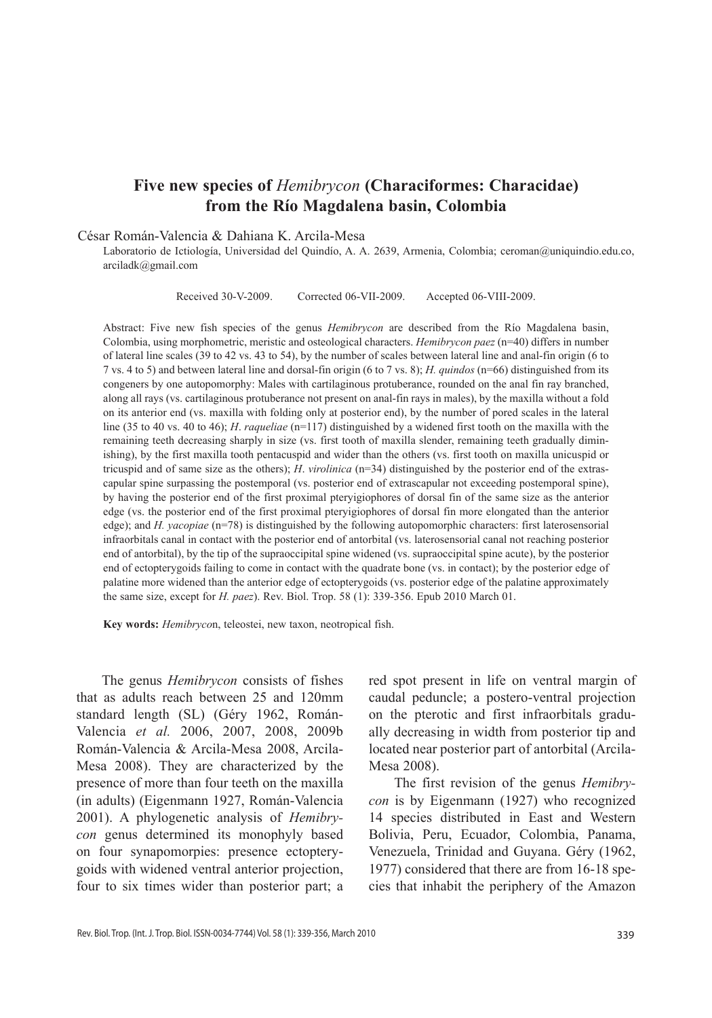# **Five new species of** *Hemibrycon* **(Characiformes: Characidae) from the Río Magdalena basin, Colombia**

César Román-Valencia & Dahiana K. Arcila-Mesa

Laboratorio de Ictiología, Universidad del Quindío, A. A. 2639, Armenia, Colombia; ceroman@uniquindio.edu.co, arciladk@gmail.com

Received 30-V-2009. Corrected 06-VII-2009. Accepted 06-VIII-2009.

Abstract: Five new fish species of the genus *Hemibrycon* are described from the Río Magdalena basin, Colombia, using morphometric, meristic and osteological characters. *Hemibrycon paez* (n=40) differs in number of lateral line scales (39 to 42 vs. 43 to 54), by the number of scales between lateral line and anal-fin origin (6 to 7 vs. 4 to 5) and between lateral line and dorsal-fin origin (6 to 7 vs. 8); *H. quindos* (n=66) distinguished from its congeners by one autopomorphy: Males with cartilaginous protuberance, rounded on the anal fin ray branched, along all rays (vs. cartilaginous protuberance not present on anal-fin rays in males), by the maxilla without a fold on its anterior end (vs. maxilla with folding only at posterior end), by the number of pored scales in the lateral line (35 to 40 vs. 40 to 46); *H*. *raqueliae* (n=117) distinguished by a widened first tooth on the maxilla with the remaining teeth decreasing sharply in size (vs. first tooth of maxilla slender, remaining teeth gradually diminishing), by the first maxilla tooth pentacuspid and wider than the others (vs. first tooth on maxilla unicuspid or tricuspid and of same size as the others); *H*. *virolinica* (n=34) distinguished by the posterior end of the extrascapular spine surpassing the postemporal (vs. posterior end of extrascapular not exceeding postemporal spine), by having the posterior end of the first proximal pteryigiophores of dorsal fin of the same size as the anterior edge (vs. the posterior end of the first proximal pteryigiophores of dorsal fin more elongated than the anterior edge); and *H. yacopiae* (n=78) is distinguished by the following autopomorphic characters: first laterosensorial infraorbitals canal in contact with the posterior end of antorbital (vs. laterosensorial canal not reaching posterior end of antorbital), by the tip of the supraoccipital spine widened (vs. supraoccipital spine acute), by the posterior end of ectopterygoids failing to come in contact with the quadrate bone (vs. in contact); by the posterior edge of palatine more widened than the anterior edge of ectopterygoids (vs. posterior edge of the palatine approximately the same size, except for *H. paez*). Rev. Biol. Trop. 58 (1): 339-356. Epub 2010 March 01.

**Key words:** *Hemibryco*n, teleostei, new taxon, neotropical fish.

The genus *Hemibrycon* consists of fishes that as adults reach between 25 and 120mm standard length (SL) (Géry 1962, Román-Valencia *et al.* 2006, 2007, 2008, 2009b Román-Valencia & Arcila-Mesa 2008, Arcila-Mesa 2008). They are characterized by the presence of more than four teeth on the maxilla (in adults) (Eigenmann 1927, Román-Valencia 2001). A phylogenetic analysis of *Hemibrycon* genus determined its monophyly based on four synapomorpies: presence ectopterygoids with widened ventral anterior projection, four to six times wider than posterior part; a

red spot present in life on ventral margin of caudal peduncle; a postero-ventral projection on the pterotic and first infraorbitals gradually decreasing in width from posterior tip and located near posterior part of antorbital (Arcila-Mesa 2008).

The first revision of the genus *Hemibrycon* is by Eigenmann (1927) who recognized 14 species distributed in East and Western Bolivia, Peru, Ecuador, Colombia, Panama, Venezuela, Trinidad and Guyana. Géry (1962, 1977) considered that there are from 16-18 species that inhabit the periphery of the Amazon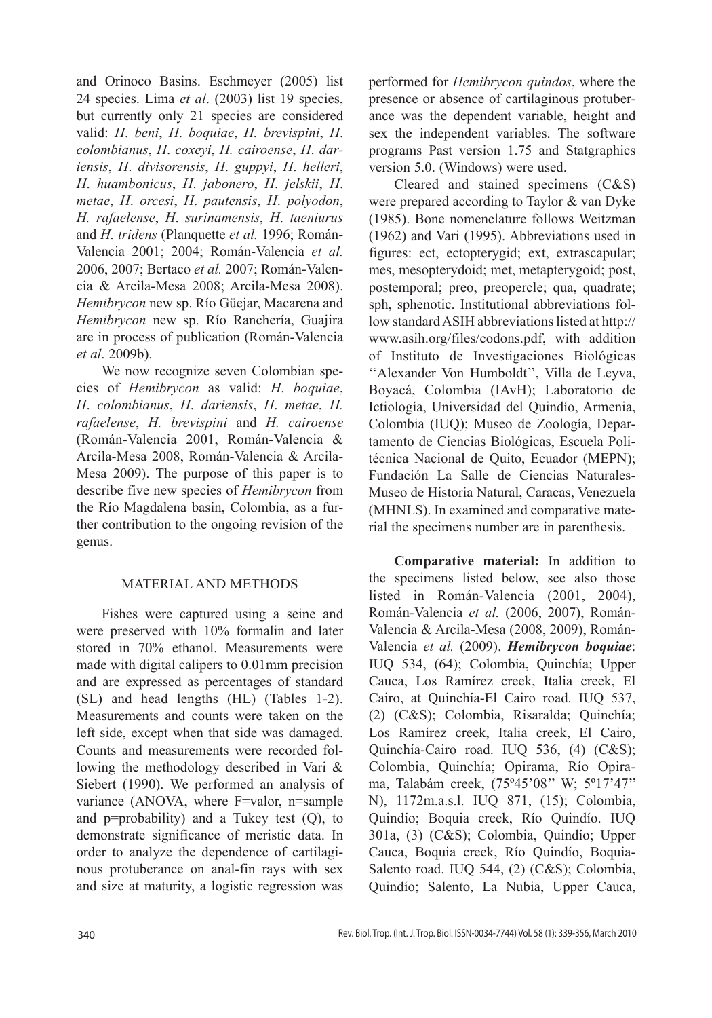and Orinoco Basins. Eschmeyer (2005) list 24 species. Lima *et al*. (2003) list 19 species, but currently only 21 species are considered valid: *H*. *beni*, *H*. *boquiae*, *H. brevispini*, *H*. *colombianus*, *H*. *coxeyi*, *H. cairoense*, *H*. *dariensis*, *H*. *divisorensis*, *H*. *guppyi*, *H*. *helleri*, *H*. *huambonicus*, *H*. *jabonero*, *H*. *jelskii*, *H*. *metae*, *H*. *orcesi*, *H*. *pautensis*, *H*. *polyodon*, *H. rafaelense*, *H*. *surinamensis*, *H*. *taeniurus* and *H. tridens* (Planquette *et al.* 1996; Román-Valencia 2001; 2004; Román-Valencia *et al.*  2006, 2007; Bertaco *et al.* 2007; Román-Valencia & Arcila-Mesa 2008; Arcila-Mesa 2008). *Hemibrycon* new sp. Río Güejar, Macarena and *Hemibrycon* new sp. Río Ranchería, Guajira are in process of publication (Román-Valencia *et al*. 2009b).

We now recognize seven Colombian species of *Hemibrycon* as valid: *H*. *boquiae*, *H*. *colombianus*, *H*. *dariensis*, *H*. *metae*, *H. rafaelense*, *H. brevispini* and *H. cairoense* (Román-Valencia 2001, Román-Valencia & Arcila-Mesa 2008, Román-Valencia & Arcila-Mesa 2009). The purpose of this paper is to describe five new species of *Hemibrycon* from the Río Magdalena basin, Colombia, as a further contribution to the ongoing revision of the genus.

### MATERIAL AND METHODS

Fishes were captured using a seine and were preserved with 10% formalin and later stored in 70% ethanol. Measurements were made with digital calipers to 0.01mm precision and are expressed as percentages of standard (SL) and head lengths (HL) (Tables 1-2). Measurements and counts were taken on the left side, except when that side was damaged. Counts and measurements were recorded following the methodology described in Vari & Siebert (1990). We performed an analysis of variance (ANOVA, where F=valor, n=sample and  $p = probability$  and a Tukey test  $(Q)$ , to demonstrate significance of meristic data. In order to analyze the dependence of cartilaginous protuberance on anal-fin rays with sex and size at maturity, a logistic regression was

performed for *Hemibrycon quindos*, where the presence or absence of cartilaginous protuberance was the dependent variable, height and sex the independent variables. The software programs Past version 1.75 and Statgraphics version 5.0. (Windows) were used.

Cleared and stained specimens (C&S) were prepared according to Taylor & van Dyke (1985). Bone nomenclature follows Weitzman (1962) and Vari (1995). Abbreviations used in figures: ect, ectopterygid; ext, extrascapular; mes, mesopterydoid; met, metapterygoid; post, postemporal; preo, preopercle; qua, quadrate; sph, sphenotic. Institutional abbreviations follow standard ASIH abbreviations listed at http:// www.asih.org/files/codons.pdf, with addition of Instituto de Investigaciones Biológicas ''Alexander Von Humboldt'', Villa de Leyva, Boyacá, Colombia (IAvH); Laboratorio de Ictiología, Universidad del Quindío, Armenia, Colombia (IUQ); Museo de Zoología, Departamento de Ciencias Biológicas, Escuela Politécnica Nacional de Quito, Ecuador (MEPN); Fundación La Salle de Ciencias Naturales-Museo de Historia Natural, Caracas, Venezuela (MHNLS). In examined and comparative material the specimens number are in parenthesis.

**Comparative material:** In addition to the specimens listed below, see also those listed in Román-Valencia (2001, 2004), Román-Valencia *et al.* (2006, 2007), Román-Valencia & Arcila-Mesa (2008, 2009), Román-Valencia *et al.* (2009). *Hemibrycon boquiae*: IUQ 534, (64); Colombia, Quinchía; Upper Cauca, Los Ramírez creek, Italia creek, El Cairo, at Quinchía-El Cairo road. IUQ 537, (2) (C&S); Colombia, Risaralda; Quinchía; Los Ramírez creek, Italia creek, El Cairo, Quinchía-Cairo road. IUQ 536, (4) (C&S); Colombia, Quinchía; Opirama, Río Opirama, Talabám creek, (75º45'08'' W; 5º17'47'' N), 1172m.a.s.l. IUQ 871, (15); Colombia, Quindío; Boquia creek, Río Quindío. IUQ 301a, (3) (C&S); Colombia, Quindío; Upper Cauca, Boquia creek, Río Quindío, Boquia-Salento road. IUQ 544, (2) (C&S); Colombia, Quindío; Salento, La Nubia, Upper Cauca,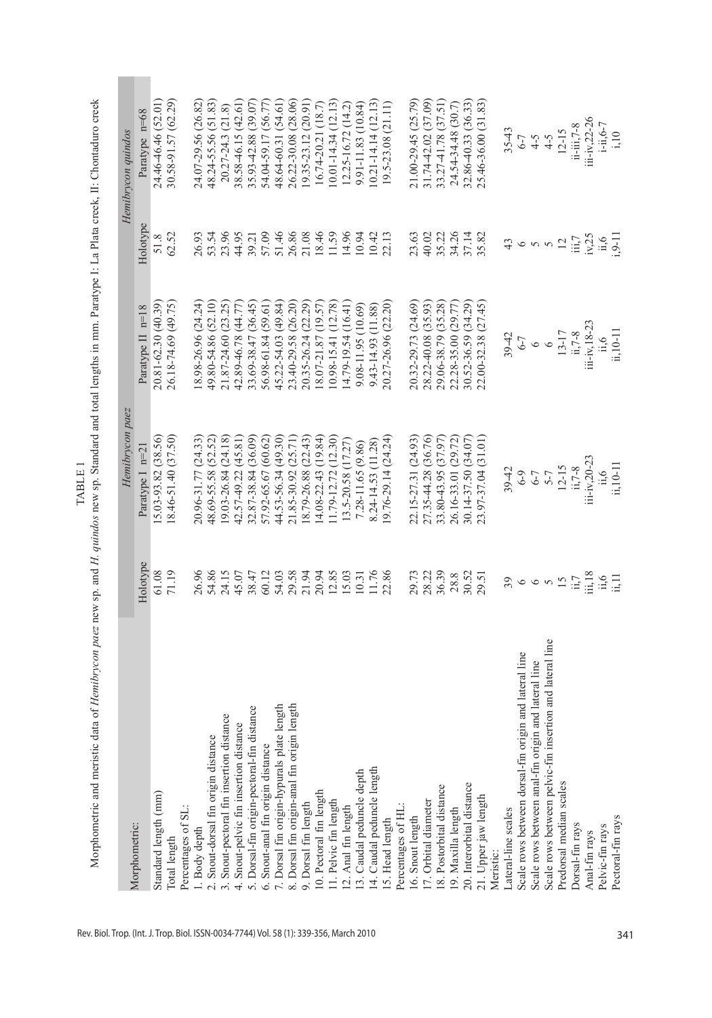| $\frac{1}{2}$ | ļ<br>l<br>j<br>ŀ | <b>BARAGE</b><br>֠<br>.<br>-<br>֖֦֦ׅׅ֪֪ׅ֚֚֚֚֚֡֝֝֬֝֬֝֬֝֬֝<br>į<br>Į<br>í<br>I<br>į<br>j<br>l<br>į<br>i<br>$\ddot{\phantom{0}}$<br>la o saa o frau<br>5.153<br>$\overline{a}$ |
|---------------|------------------|-----------------------------------------------------------------------------------------------------------------------------------------------------------------------------|
|               |                  |                                                                                                                                                                             |

|                                                          |                | Hemibrycon paez               |                            |                         | Hemibrycon quindos                 |
|----------------------------------------------------------|----------------|-------------------------------|----------------------------|-------------------------|------------------------------------|
| Morphometric:                                            | Holotype       | Paratype I n=2                | Paratype II n=18           | Holotype                | Paratype n=68                      |
| Standard length (mm)                                     | 61.08          | $[5.03 - 93.82(38.56)]$       | 20.81-62.30 (40.39)        | 51.8                    | 24.46-46.46 (52.01)                |
| Total length                                             | 71.19          | 18.46-51.40 (37.50)           | 26.18-74.69 (49.75)        | 62.52                   | 30.58-91.57 (62.29)                |
| Percentages of SL:                                       |                |                               |                            |                         |                                    |
| 1. Body depth                                            | 26.96          | 20.96-31.77 (24.33)           | 18.98-26.96 (24.24)        | 26.93                   | 24.07-29.56 (26.82)                |
| 2. Snout-dorsal fin origin distance                      | 54.86          | 48.69-55.58 (52.52)           | 49.80-54.86 (52.10)        | 53.54                   | 48.24-55.56 (51.83)                |
| 3. Snout-pectoral fin insertion distance                 | 24.15          | 19.03-26.84 (24.18)           | 21.87-24.60 (23.25)        | 23.96                   | 20.27-24.3 (21.8)                  |
| 4. Snout-pelvic fin insertion distance                   | 45.07          | 42.57-49.22 (45.81)           | 42.89-46.78 (44.77)        | 44.95                   | 38.58-46.15 (42.61)                |
| 5. Dorsal-fin origin-pectoral-fin distance               | 38.47          | 32.87-38.84 (36.09)           | 33.69-38.47 (36.45)        | 39.21                   | 35.93-42.88 (39.07)                |
| 6. Snout-anal fin origin distance                        | 60.12          | 57.92-65.67 (60.62)           | 56.98-61.84 (59.61)        | 57.09                   | 54.04-59.17 (56.77)                |
| length<br>7. Dorsal fin origin-hypurals plate            | 54.03          | 44.53-56.34 (49.30)           | 45.22-54.03 (49.84)        | 51.46                   | 48.64-60.31 (54.61)                |
| length<br>8. Dorsal fin origin-anal fin origin           | 29.58          | 21.85-30.92 (25.71)           | 23.40-29.58 (26.20)        | 26.86                   | 26.22-30.08 (28.06)                |
| 9. Dorsal fin length                                     | 21.94          | 18.79-26.88 (22.43)           | 20.35-26.24 (22.29)        | 21.08                   | (9.35-23.12 (20.91)                |
| 10. Pectoral fin length                                  | 20.94          | $(4.08 - 22.43) (19.84)$      | $18.07 - 21.87$ (19.57)    | 18.46                   | 16.74-20.21 (18.7)                 |
| 11. Pelvic fin length                                    | 12.85          | 11.79-12.72 (12.30)           | $(0.98 - 15.41)$ $(12.78)$ | 11.59                   | $(0.01 - 14.34(12.13))$            |
| 12. Anal fin length                                      | 15.03          | 13.5-20.58 (17.27)            | $14.79 - 19.54(16.41)$     | 14.96                   | 12.25-16.72 (14.2)                 |
| 13. Caudal peduncle depth                                | 10.31          | 7.28-11.65 (9.86)             | $9.08 - 11.95(10.69)$      | 10.94                   | 9.91-11.83 (10.84)                 |
| 14. Caudal peduncle length                               | 11.76          | 8.24-14.53 (11.28)            | 9.43-14.93 (11.88)         | 10.42                   | $(0.21 - 14.14(12.13))$            |
| 15. Head length                                          | 22.86          | $(9.76 - 29.14(24.24)$        | 20.27-26.96 (22.20)        | 22.13                   | 19.5-23.08 (21.11)                 |
| Percentages of HL                                        |                |                               |                            |                         |                                    |
| 16. Snout length                                         | 29.73          | 22.15-27.31 (24.93)           | 20.32-29.73 (24.69)        | 23.63                   | 21.00-29.45 (25.79)                |
| 17. Orbital diameter                                     | 28.22          | 27.35-44.28 (36.76)           | 28.22-40.08 (35.93)        | 40.02                   | 31.74-42.02 (37.09)                |
| 18. Postorbital distance                                 | 36.39          | 33.80-43.95 (37.97)           | 29.06-38.79 (35.28)        | 35.22                   | 33.27-41.78 (37.51)                |
| 19. Maxilla length                                       | 28.8           | 26.16-33.01 (29.72)           | 22.28-35.00 (29.77)        | 34.26                   | 24.54-34.48 (30.7)                 |
| 20. Interorbital distance                                | 30.52          | 30.14-37.50 (34.07)           | 30.52-36.59 (34.29)        | 37.14                   | 32.86-40.33 (36.33)                |
| 21. Upper jaw length                                     | 29.51          | 23.97-37.04 (31.01)           | 22.00-32.38 (27.45)        | 35.82                   | 25.46-36.00 (31.83)                |
| Meristic:                                                |                |                               |                            |                         |                                    |
| Lateral-line scales                                      | 39             | 39-42                         | $39 - 42$                  | 43                      | $35 - 43$                          |
| Scale rows between dorsal-fin origin and lateral line    | $\circ$        |                               |                            | $\circ$                 |                                    |
| Scale rows between anal-fin origin and lateral line      | $\circ$        | $6 - 3$<br>$6 - 7$<br>$6 - 7$ | $6 - 7$<br>$6 - 7$         | $\sigma$ $\sigma$       |                                    |
| Scale rows between pelvic-fin insertion and lateral line | $\gamma$       |                               |                            |                         | $6-7$<br>$4-5$<br>$4-5$<br>$12-15$ |
| Predorsal median scales                                  | $\tilde{5}$    | $12-15$<br>ii,7-8             | $13-17$<br>ii, $7-8$       | 12                      |                                    |
| Dorsal-fin rays                                          | ii,7           |                               |                            | $\dddot{\mathbf{m}}$ ,7 | $ii - iii, 7 - 8$                  |
| Anal-fin rays                                            | iii.18         | $i$ ii-iv,20-23               | $iii-iv, 18-23$            | iv,25                   | iii-iv,22-26<br>i-ii,6-7           |
| Pelvic-fin rays                                          | $\ddot{u}, 11$ | $\ddot{1}, 6$                 | $\ddot{11.6}$              | $\frac{11.6}{0.9}$      |                                    |
| Pectoral-fin rays                                        |                | ii,10-11                      | ii, 10-11                  |                         | i, 10                              |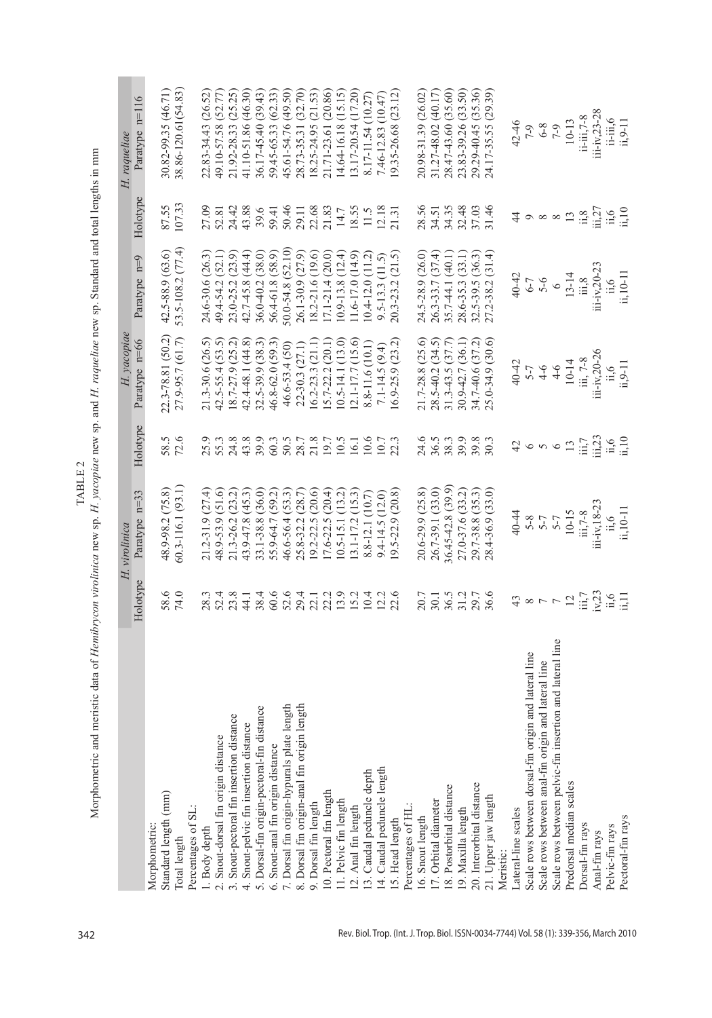Morphometric and meristic data of Hemibrycon virolinica new sp. H. yacopiae new sp. and H. raqueliae new sp. Standard and total lengths in mm Morphometric and meristic data of *Hemibrycon virolinica* new sp. *H. yacopiae* new sp. and *H. raqueliae* new sp. Standard and total lengths in mm TABLE 2 Table 2

**COLLEGE** 

|                                                          |                                               | H. virolinica                                        |                                          | $H.$ yacopiae                             |                                                                                                                  |                                                                                                         | H. raqueliae                                                                |
|----------------------------------------------------------|-----------------------------------------------|------------------------------------------------------|------------------------------------------|-------------------------------------------|------------------------------------------------------------------------------------------------------------------|---------------------------------------------------------------------------------------------------------|-----------------------------------------------------------------------------|
|                                                          | Holotype                                      | Paratype n=33                                        | Holotype                                 | Paratype n=66                             | Paratype n=9                                                                                                     | Holotype                                                                                                | Paratype n=116                                                              |
| Morphometric:                                            |                                               |                                                      |                                          |                                           |                                                                                                                  |                                                                                                         |                                                                             |
| Standard length (mm)                                     | 58.6                                          | 48.9-98.2 (75.8)                                     | 58.5                                     | 22.3-78.81 (50.2)                         | 42.5-88.9 (63.6)                                                                                                 | 87.55                                                                                                   | 30.82-99.35 (46.71)                                                         |
| Total length                                             | 74.0                                          | 50.3-116.1 (93.1)                                    | 72.6                                     | 27.9-95.7 (61.7)                          | 53.5-108.2 (77.4)                                                                                                | 107.33                                                                                                  | 38.86-120.61(54.83)                                                         |
| Percentages of SL.                                       |                                               |                                                      |                                          |                                           |                                                                                                                  |                                                                                                         |                                                                             |
| . Body depth                                             | 28.3                                          | (27.4)<br>21.2-31.9                                  | 25.9                                     | $21.3 - 30.6$ $(26.5)$                    | 24.6-30.6 (26.3)                                                                                                 | 27.09                                                                                                   | 22.83-34.43 (26.52)                                                         |
| 2. Snout-dorsal fin origin distance                      |                                               | 48.9-53.9 (51.6)                                     | 55.3                                     | $42.5 - 55.4$ (53.5)                      | 49.4-54.2 (52.1)                                                                                                 | 52.81                                                                                                   | 49.10-57.58 (52.77)                                                         |
| 3. Snout-pectoral fin insertion distance                 | $52.4$<br>$23.8$                              | 21.3-26.2 (23.2)                                     | 24.8                                     | $18.7 - 27.9$ $(25.2)$                    | 23.0-25.2 (23.9)                                                                                                 | 24.42                                                                                                   | 21.92-28.33 (25.25)                                                         |
| 4. Snout-pelvic fin insertion distance                   | 44.1                                          | 43.9-47.8 (45.3)                                     | 43.8                                     | 42.4-48.1 (44.8)                          | 42.7-45.8 (44.4)                                                                                                 | 43.88                                                                                                   | 41.10-51.86 (46.30)                                                         |
| 5. Dorsal-fin origin-pectoral-fin distance               | 38.4                                          | 33.1-38.8 (36.0)                                     | 39.9                                     | 32.5-39.9 (38.3)                          | 36.0-40.2 (38.0)                                                                                                 | 39.6                                                                                                    | 36.17-45.40 (39.43)                                                         |
| 6. Snout-anal fin origin distance                        |                                               | 55.9-64.7 (59.2)                                     | 60.3                                     | 46.8-62.0 (59.3)                          | 56.4-61.8 (58.9)                                                                                                 | 59.41                                                                                                   | 59.45-65.33 (62.33)                                                         |
| ngth<br>7. Dorsal fin origin-hypurals plate ler          |                                               | 46.6-56.4 (53.3)                                     | 50.5                                     | 46.6-53.4 (50)                            | 50.0-54.8 (52.10)                                                                                                | 50.46                                                                                                   | 45.61-54.76 (49.50)                                                         |
| ngth<br>8. Dorsal fin origin-anal fin origin ler         |                                               | 25.8-32.2 (28.7)                                     | 28.7                                     | 22-30.3 (27.1)                            | 26.1-30.9 (27.9)                                                                                                 | 29.11                                                                                                   | 28.73-35.31 (32.70)                                                         |
| 9. Dorsal fin length                                     | 9 9 9 1 1 2 9<br>6 2 3 2 2 1 2<br>6 2 3 2 2 2 | $19.2 - 22.5(20.6)$                                  | 21.8                                     | $16.2 - 23.3(21.1)$                       | 18.2-21.6 (19.6)                                                                                                 | 22.68<br>21.83                                                                                          | 18.25-24.95 (21.53)                                                         |
| 10. Pectoral fin length                                  |                                               | $17.6 - 22.5(20.4)$                                  | 19.7                                     | 5.7-22.2 (20.1)                           | $17.1 - 21.4(20.0)$                                                                                              |                                                                                                         | 21.71-23.61 (20.86)                                                         |
| 11. Pelvic fin length                                    |                                               | $10.5 - 15.1$ $(13.2)$                               | 10.5                                     | $(0.5-14.1)(13.0)$                        | $10.9 - 13.8(12.4)$                                                                                              | $14.7\,$                                                                                                | 14.64-16.18 (15.15)                                                         |
| 12. Anal fin length                                      | 15.2                                          | $13.1 - 17.2$ $(15.3)$                               | 16.1                                     | $12.1 - 17.7$ $(15.6)$                    | $11.6 - 17.0$ $(14.9)$                                                                                           | 18.55                                                                                                   | 13.17-20.54 (17.20)                                                         |
| 3. Caudal peduncle depth                                 | 10.4                                          | 8.8-12.1 (10.7)                                      | 10.6                                     | 8.8-11.6 (10.1)                           | $(0.4 - 12.0(11.2))$                                                                                             | 11.5                                                                                                    | 8.17-11.54 (10.27)                                                          |
| 14. Caudal peduncle length                               |                                               | $9.4 - 14.5(12.0)$                                   |                                          | $7.1 - 14.5(9.4)$                         | $9.5 - 13.3(11.5)$                                                                                               |                                                                                                         | 7.46-12.83 (10.47)                                                          |
| 5. Head length                                           | $12.2$<br>$22.6$                              | $9.5 - 22.9$ $(20.8)$                                | $\frac{10.7}{22.3}$                      | $6.9 - 25.9$ $(23.2)$                     | 20.3-23.2 (21.5)                                                                                                 | $12.18$<br>$21.31$                                                                                      | 9.35-26.68 (23.12)                                                          |
| Percentages of HL:                                       |                                               |                                                      |                                          |                                           |                                                                                                                  |                                                                                                         |                                                                             |
| 16. Snout length                                         |                                               | 20.6-29.9 (25.8)                                     |                                          | 21.7-28.8 (25.6)                          | 24.5-28.9 (26.0)                                                                                                 | 28.56<br>34.51                                                                                          | 20.98-31.39 (26.02)                                                         |
| 7. Orbital diameter                                      |                                               | 26.7-39.1 (33.0)                                     |                                          | $28.5 - 40.2$ $(34.5)$                    | 26.3-33.7 (37.4)                                                                                                 |                                                                                                         | 31.27-48.02 (40.17)                                                         |
| 18. Postorbital distance                                 |                                               | 36.45-42.8 (39.9)                                    |                                          | $31.3 - 43.5(37.7)$                       | 35.7-44.1 (40.1)                                                                                                 | 34.35                                                                                                   | 28.47-43.60 (35.60)                                                         |
| 19. Maxilla length                                       | 20.15<br>20.20.16<br>20.20.20.20              | 27.0-37.6 (33.2)                                     | 4.6<br>2.6.39<br>2.98.39                 | 30.9-42.7 (36.1)                          | 28.6-35.3 (33.1)                                                                                                 | 32.48                                                                                                   | 23.83-39.26 (33.50)                                                         |
| 20. Interorbital distance                                |                                               | 29.7-38.8 (35.3)                                     | 39.3<br>30.3                             | 34.7-40.6 (37.2)                          | 32.5-39.5 (36.3)                                                                                                 | 37.03                                                                                                   | 29.29-40.45 (35.36)                                                         |
| 21. Upper jaw length                                     |                                               | 28.4-36.9 (33.0)                                     |                                          | 25.0-34.9 (30.6)                          | 27.2-38.2 (31.4)                                                                                                 | 31.46                                                                                                   | 24.17-35.55 (29.39)                                                         |
| Meristic:                                                |                                               |                                                      |                                          |                                           |                                                                                                                  |                                                                                                         |                                                                             |
| Lateral-line scales                                      |                                               |                                                      | 42                                       |                                           |                                                                                                                  |                                                                                                         |                                                                             |
| Scale rows between dorsal-fin origin and lateral line    |                                               |                                                      |                                          |                                           |                                                                                                                  |                                                                                                         |                                                                             |
| Scale rows between anal-fin origin and lateral line      | $\infty$ $\,\rightharpoondown\,$ $\sim$       |                                                      | 650                                      | $40 - 7$<br>$5 - 7$<br>$4 - 6$<br>$4 - 6$ |                                                                                                                  | $\circ \circ \circ \circ \mathop{\mathrm{m}}$                                                           |                                                                             |
| Scale rows between pelvic-fin insertion and lateral line |                                               |                                                      |                                          |                                           |                                                                                                                  |                                                                                                         |                                                                             |
| Predorsal median scales                                  | 12                                            |                                                      | 13                                       |                                           |                                                                                                                  |                                                                                                         | 42-46<br>$7-9$<br>$6-8$<br>$7-9$<br>$7-9$<br>$10-13$<br>$11-113$<br>$11-13$ |
| Dorsal-fin rays                                          | $\dddot{\mathbf{m}}$                          | 40-44<br>5-8<br>5-7<br>5-7<br>5-7<br>10-15<br>11:7-8 | $\lim_{x \to 2} 7$<br>$\lim_{x \to 1} 6$ | 10-14<br>iii, 7-8                         | 40-42<br>$6-7$<br>$5-6$<br>$13-14$<br>$\frac{13}{11}8$<br>$\frac{13}{11}6$<br>$\frac{1}{11}6$<br>$\frac{1}{11}6$ | $\begin{array}{c} \bar{u},\bar{z},\\ \bar{u},\bar{z},\\ \bar{u},\bar{u},\\ \bar{u},\bar{u} \end{array}$ |                                                                             |
| Anal-fin rays                                            | $\frac{23}{11,0}$                             | iii-iv, 18-23<br>ii, 6<br>ii, 10-11                  |                                          | iii-iv,20-26                              |                                                                                                                  |                                                                                                         | iii-iv,23-28                                                                |
| Pelvic-fin rays                                          |                                               |                                                      |                                          | $\ddot{\mathbf{n}}, 6$                    |                                                                                                                  |                                                                                                         | $i\overline{i}$ - $i\overline{i}$ ,6                                        |
| Pectoral-fin rays                                        |                                               |                                                      |                                          | $ii, 9-11$                                |                                                                                                                  |                                                                                                         | ii,9-11                                                                     |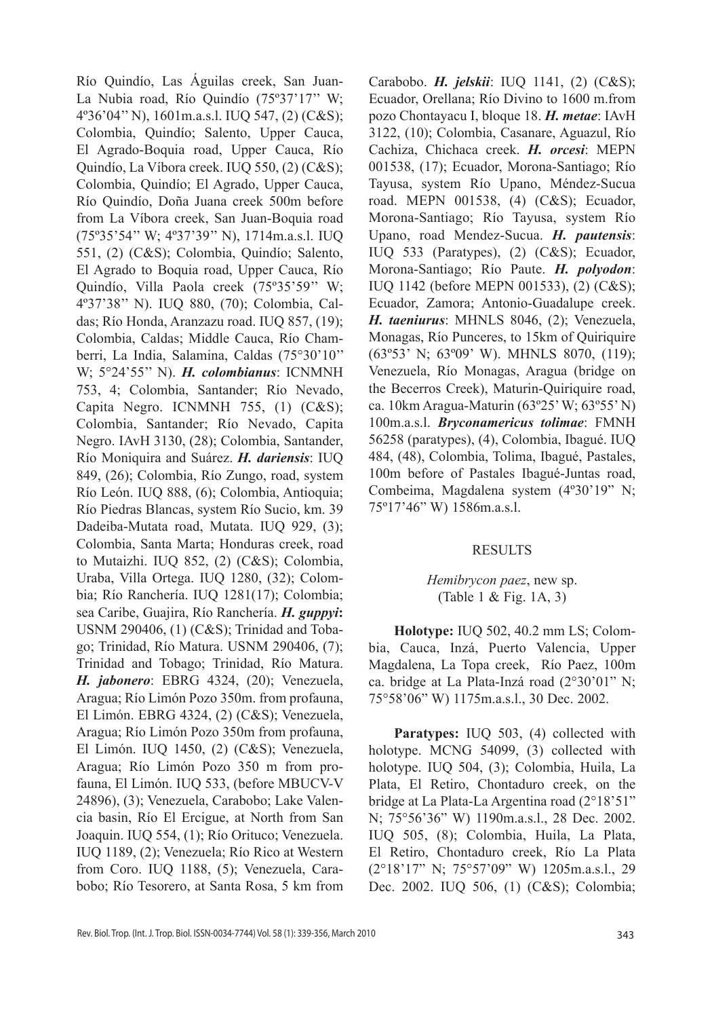Río Quindío, Las Águilas creek, San Juan-La Nubia road, Río Quindío (75º37'17'' W; 4º36'04'' N), 1601m.a.s.l. IUQ 547, (2) (C&S); Colombia, Quindío; Salento, Upper Cauca, El Agrado-Boquia road, Upper Cauca, Río Quindío, La Víbora creek. IUQ 550, (2) (C&S); Colombia, Quindío; El Agrado, Upper Cauca, Río Quindío, Doña Juana creek 500m before from La Víbora creek, San Juan-Boquia road (75º35'54'' W; 4º37'39'' N), 1714m.a.s.l. IUQ 551, (2) (C&S); Colombia, Quindío; Salento, El Agrado to Boquia road, Upper Cauca, Río Quindío, Villa Paola creek (75º35'59'' W; 4º37'38'' N). IUQ 880, (70); Colombia, Caldas; Río Honda, Aranzazu road. IUQ 857, (19); Colombia, Caldas; Middle Cauca, Río Chamberri, La India, Salamina, Caldas (75°30'10'' W; 5°24'55'' N). *H. colombianus*: ICNMNH 753, 4; Colombia, Santander; Río Nevado, Capita Negro. ICNMNH 755, (1) (C&S); Colombia, Santander; Río Nevado, Capita Negro. IAvH 3130, (28); Colombia, Santander, Río Moniquira and Suárez. *H. dariensis*: IUQ 849, (26); Colombia, Río Zungo, road, system Río León. IUQ 888, (6); Colombia, Antioquia; Río Piedras Blancas, system Río Sucio, km. 39 Dadeiba-Mutata road, Mutata. IUQ 929, (3); Colombia, Santa Marta; Honduras creek, road to Mutaizhi. IUQ 852, (2) (C&S); Colombia, Uraba, Villa Ortega. IUQ 1280, (32); Colombia; Río Ranchería. IUQ 1281(17); Colombia; sea Caribe, Guajira, Río Ranchería. *H. guppyi***:**  USNM 290406, (1) (C&S); Trinidad and Tobago; Trinidad, Río Matura. USNM 290406, (7); Trinidad and Tobago; Trinidad, Río Matura. *H. jabonero*: EBRG 4324, (20); Venezuela, Aragua; Río Limón Pozo 350m. from profauna, El Limón. EBRG 4324, (2) (C&S); Venezuela, Aragua; Río Limón Pozo 350m from profauna, El Limón. IUQ 1450, (2) (C&S); Venezuela, Aragua; Río Limón Pozo 350 m from profauna, El Limón. IUQ 533, (before MBUCV-V 24896), (3); Venezuela, Carabobo; Lake Valencia basin, Río El Ercigue, at North from San Joaquin. IUQ 554, (1); Río Orituco; Venezuela. IUQ 1189, (2); Venezuela; Río Rico at Western from Coro. IUQ 1188, (5); Venezuela, Carabobo; Río Tesorero, at Santa Rosa, 5 km from Carabobo. *H. jelskii*: IUQ 1141, (2) (C&S); Ecuador, Orellana; Río Divino to 1600 m.from pozo Chontayacu I, bloque 18. *H. metae*: IAvH 3122, (10); Colombia, Casanare, Aguazul, Río Cachiza, Chichaca creek. *H. orcesi*: MEPN 001538, (17); Ecuador, Morona-Santiago; Río Tayusa, system Río Upano, Méndez-Sucua road. MEPN 001538, (4) (C&S); Ecuador, Morona-Santiago; Río Tayusa, system Río Upano, road Mendez-Sucua. *H. pautensis*: IUQ 533 (Paratypes), (2) (C&S); Ecuador, Morona-Santiago; Río Paute. *H. polyodon*: IUQ 1142 (before MEPN 001533), (2) (C&S); Ecuador, Zamora; Antonio-Guadalupe creek. *H. taeniurus*: MHNLS 8046, (2); Venezuela, Monagas, Río Punceres, to 15km of Quiriquire (63º53' N; 63º09' W). MHNLS 8070, (119); Venezuela, Río Monagas, Aragua (bridge on the Becerros Creek), Maturin-Quiriquire road, ca. 10km Aragua-Maturin (63º25' W; 63º55' N) 100m.a.s.l. *Bryconamericus tolimae*: FMNH 56258 (paratypes), (4), Colombia, Ibagué. IUQ 484, (48), Colombia, Tolima, Ibagué, Pastales, 100m before of Pastales Ibagué-Juntas road, Combeima, Magdalena system (4º30'19" N; 75º17'46" W) 1586m.a.s.l.

### RESULTS

## *Hemibrycon paez*, new sp. (Table 1 & Fig. 1A, 3)

**Holotype:** IUQ 502, 40.2 mm LS; Colombia, Cauca, Inzá, Puerto Valencia, Upper Magdalena, La Topa creek, Río Paez, 100m ca. bridge at La Plata-Inzá road (2°30'01" N; 75°58'06" W) 1175m.a.s.l., 30 Dec. 2002.

Paratypes: IUQ 503, (4) collected with holotype. MCNG 54099, (3) collected with holotype. IUQ 504, (3); Colombia, Huila, La Plata, El Retiro, Chontaduro creek, on the bridge at La Plata-La Argentina road (2°18'51" N; 75°56'36" W) 1190m.a.s.l., 28 Dec. 2002. IUQ 505, (8); Colombia, Huila, La Plata, El Retiro, Chontaduro creek, Río La Plata (2°18'17" N; 75°57'09" W) 1205m.a.s.l., 29 Dec. 2002. IUQ 506, (1) (C&S); Colombia;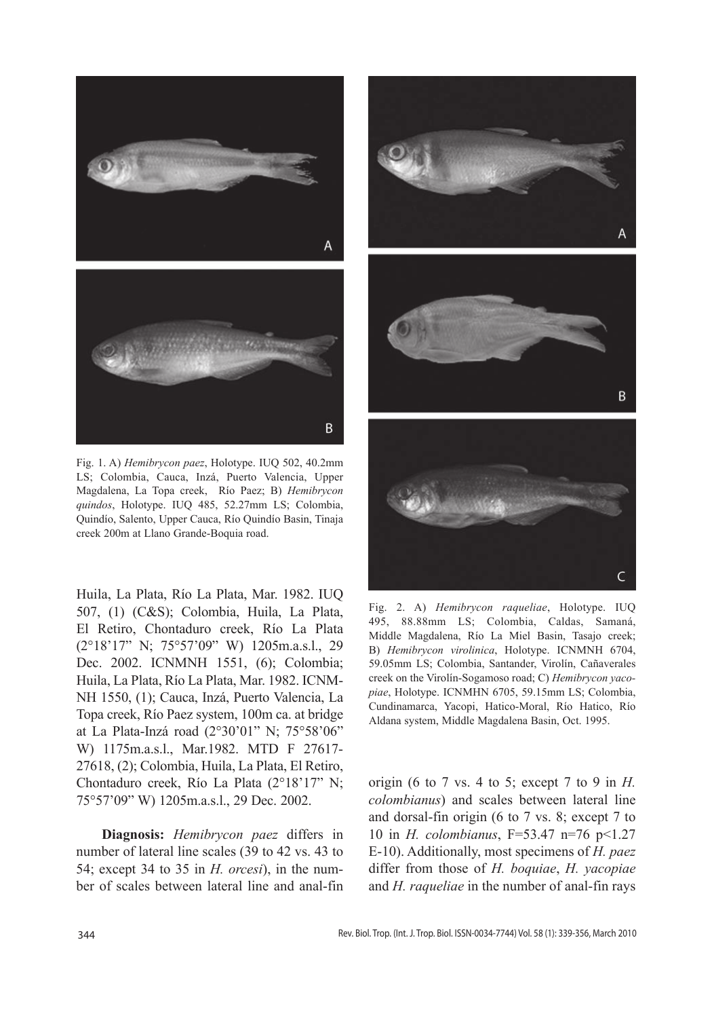

Fig. 1. A) *Hemibrycon paez*, Holotype. IUQ 502, 40.2mm LS; Colombia, Cauca, Inzá, Puerto Valencia, Upper Magdalena, La Topa creek, Río Paez; B) *Hemibrycon quindos*, Holotype. IUQ 485, 52.27mm LS; Colombia, Quindío, Salento, Upper Cauca, Río Quindío Basin, Tinaja creek 200m at Llano Grande-Boquia road.

Huila, La Plata, Río La Plata, Mar. 1982. IUQ 507, (1) (C&S); Colombia, Huila, La Plata, El Retiro, Chontaduro creek, Río La Plata (2°18'17" N; 75°57'09" W) 1205m.a.s.l., 29 Dec. 2002. ICNMNH 1551, (6); Colombia; Huila, La Plata, Río La Plata, Mar. 1982. ICNM-NH 1550, (1); Cauca, Inzá, Puerto Valencia, La Topa creek, Río Paez system, 100m ca. at bridge at La Plata-Inzá road (2°30'01" N; 75°58'06" W) 1175m.a.s.l., Mar.1982. MTD F 27617- 27618, (2); Colombia, Huila, La Plata, El Retiro, Chontaduro creek, Río La Plata (2°18'17" N; 75°57'09" W) 1205m.a.s.l., 29 Dec. 2002.

**Diagnosis:** *Hemibrycon paez* differs in number of lateral line scales (39 to 42 vs. 43 to 54; except 34 to 35 in *H. orcesi*), in the number of scales between lateral line and anal-fin



Fig. 2. A) *Hemibrycon raqueliae*, Holotype. IUQ 495, 88.88mm LS; Colombia, Caldas, Samaná, Middle Magdalena, Río La Miel Basin, Tasajo creek; B) *Hemibrycon virolinica*, Holotype. ICNMNH 6704, 59.05mm LS; Colombia, Santander, Virolín, Cañaverales creek on the Virolín-Sogamoso road; C) *Hemibrycon yacopiae*, Holotype. ICNMHN 6705, 59.15mm LS; Colombia, Cundinamarca, Yacopi, Hatico-Moral, Río Hatico, Río Aldana system, Middle Magdalena Basin, Oct. 1995.

origin (6 to 7 vs. 4 to 5; except 7 to 9 in *H. colombianus*) and scales between lateral line and dorsal-fin origin (6 to 7 vs. 8; except 7 to 10 in *H. colombianus*, F=53.47 n=76 p<1.27 E-10). Additionally, most specimens of *H. paez*  differ from those of *H. boquiae*, *H. yacopiae*  and *H. raqueliae* in the number of anal-fin rays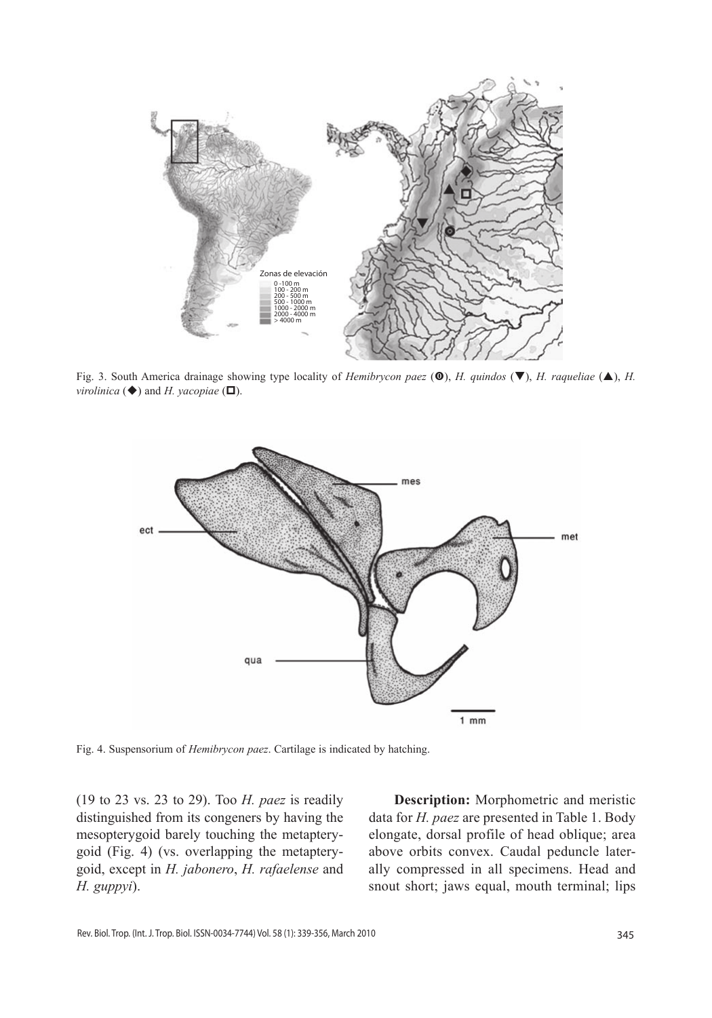

Fig. 3. South America drainage showing type locality of *Hemibrycon paez* ( $\circled{O}$ ), *H. quindos* ( $\neg$ ), *H. raqueliae* ( $\triangle$ ), *H. virolinica*  $(\blacklozenge)$  and *H. yacopiae*  $(\square)$ .



Fig. 4. Suspensorium of *Hemibrycon paez*. Cartilage is indicated by hatching.

(19 to 23 vs. 23 to 29). Too *H. paez* is readily distinguished from its congeners by having the mesopterygoid barely touching the metapterygoid (Fig. 4) (vs. overlapping the metapterygoid, except in *H. jabonero*, *H. rafaelense* and *H. guppyi*).

**Description:** Morphometric and meristic data for *H. paez* are presented in Table 1. Body elongate, dorsal profile of head oblique; area above orbits convex. Caudal peduncle laterally compressed in all specimens. Head and snout short; jaws equal, mouth terminal; lips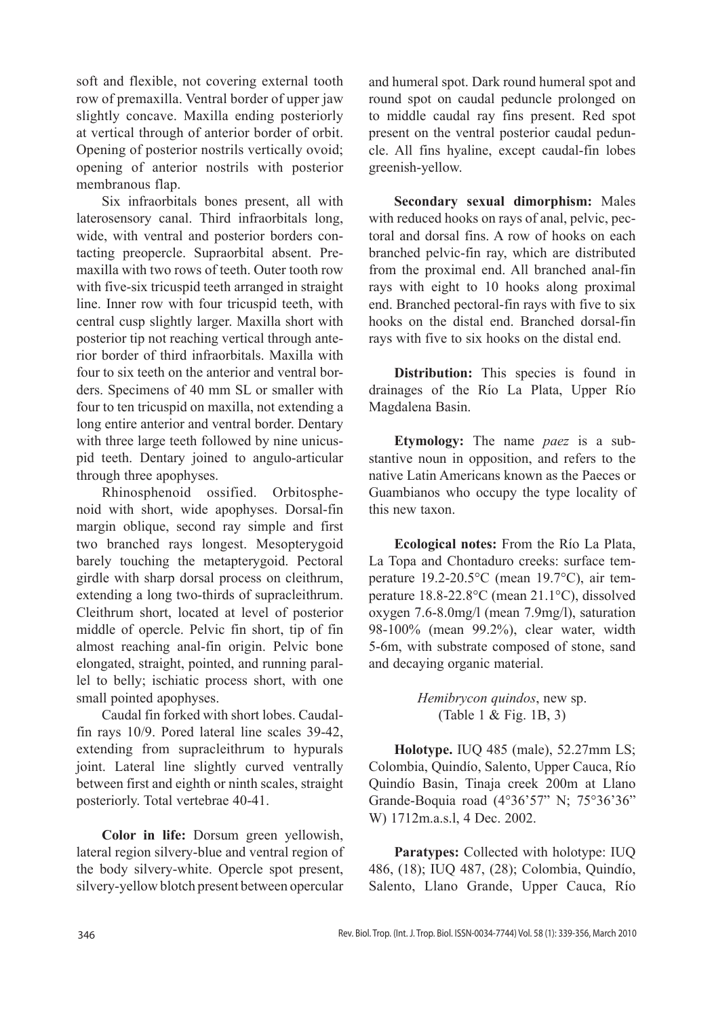soft and flexible, not covering external tooth row of premaxilla. Ventral border of upper jaw slightly concave. Maxilla ending posteriorly at vertical through of anterior border of orbit. Opening of posterior nostrils vertically ovoid; opening of anterior nostrils with posterior membranous flap.

Six infraorbitals bones present, all with laterosensory canal. Third infraorbitals long, wide, with ventral and posterior borders contacting preopercle. Supraorbital absent. Premaxilla with two rows of teeth. Outer tooth row with five-six tricuspid teeth arranged in straight line. Inner row with four tricuspid teeth, with central cusp slightly larger. Maxilla short with posterior tip not reaching vertical through anterior border of third infraorbitals. Maxilla with four to six teeth on the anterior and ventral borders. Specimens of 40 mm SL or smaller with four to ten tricuspid on maxilla, not extending a long entire anterior and ventral border. Dentary with three large teeth followed by nine unicuspid teeth. Dentary joined to angulo-articular through three apophyses.

Rhinosphenoid ossified. Orbitosphenoid with short, wide apophyses. Dorsal-fin margin oblique, second ray simple and first two branched rays longest. Mesopterygoid barely touching the metapterygoid. Pectoral girdle with sharp dorsal process on cleithrum, extending a long two-thirds of supracleithrum. Cleithrum short, located at level of posterior middle of opercle. Pelvic fin short, tip of fin almost reaching anal-fin origin. Pelvic bone elongated, straight, pointed, and running parallel to belly; ischiatic process short, with one small pointed apophyses.

Caudal fin forked with short lobes. Caudalfin rays 10/9. Pored lateral line scales 39-42, extending from supracleithrum to hypurals joint. Lateral line slightly curved ventrally between first and eighth or ninth scales, straight posteriorly. Total vertebrae 40-41.

**Color in life:** Dorsum green yellowish, lateral region silvery-blue and ventral region of the body silvery-white. Opercle spot present, silvery-yellow blotch present between opercular

and humeral spot. Dark round humeral spot and round spot on caudal peduncle prolonged on to middle caudal ray fins present. Red spot present on the ventral posterior caudal peduncle. All fins hyaline, except caudal-fin lobes greenish-yellow.

**Secondary sexual dimorphism:** Males with reduced hooks on rays of anal, pelvic, pectoral and dorsal fins. A row of hooks on each branched pelvic-fin ray, which are distributed from the proximal end. All branched anal-fin rays with eight to 10 hooks along proximal end. Branched pectoral-fin rays with five to six hooks on the distal end. Branched dorsal-fin rays with five to six hooks on the distal end.

**Distribution:** This species is found in drainages of the Río La Plata, Upper Río Magdalena Basin.

**Etymology:** The name *paez* is a substantive noun in opposition, and refers to the native Latin Americans known as the Paeces or Guambianos who occupy the type locality of this new taxon.

**Ecological notes:** From the Río La Plata, La Topa and Chontaduro creeks: surface temperature 19.2-20.5°C (mean 19.7°C), air temperature 18.8-22.8°C (mean 21.1°C), dissolved oxygen 7.6-8.0mg/l (mean 7.9mg/l), saturation 98-100% (mean 99.2%), clear water, width 5-6m, with substrate composed of stone, sand and decaying organic material.

> *Hemibrycon quindos*, new sp. (Table 1 & Fig. 1B, 3)

**Holotype.** IUQ 485 (male), 52.27mm LS; Colombia, Quindío, Salento, Upper Cauca, Río Quindío Basin, Tinaja creek 200m at Llano Grande-Boquia road (4°36'57" N; 75°36'36" W) 1712m.a.s.l, 4 Dec. 2002.

**Paratypes:** Collected with holotype: IUQ 486, (18); IUQ 487, (28); Colombia, Quindío, Salento, Llano Grande, Upper Cauca, Río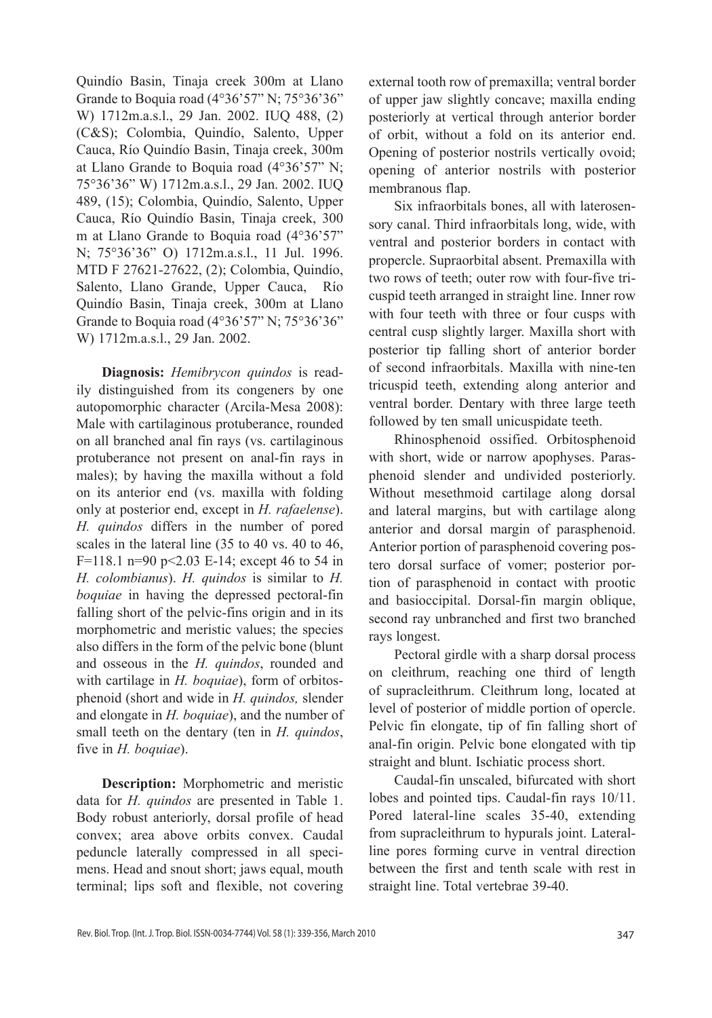Quindío Basin, Tinaja creek 300m at Llano Grande to Boquia road (4°36'57" N; 75°36'36" W) 1712m.a.s.l., 29 Jan. 2002. IUQ 488, (2) (C&S); Colombia, Quindío, Salento, Upper Cauca, Río Quindío Basin, Tinaja creek, 300m at Llano Grande to Boquia road (4°36'57" N; 75°36'36" W) 1712m.a.s.l., 29 Jan. 2002. IUQ 489, (15); Colombia, Quindío, Salento, Upper Cauca, Río Quindío Basin, Tinaja creek, 300 m at Llano Grande to Boquia road (4°36'57" N; 75°36'36" O) 1712m.a.s.l., 11 Jul. 1996. MTD F 27621-27622, (2); Colombia, Quindío, Salento, Llano Grande, Upper Cauca, Río Quindío Basin, Tinaja creek, 300m at Llano Grande to Boquia road (4°36'57" N; 75°36'36" W) 1712m.a.s.l., 29 Jan. 2002.

**Diagnosis:** *Hemibrycon quindos* is readily distinguished from its congeners by one autopomorphic character (Arcila-Mesa 2008): Male with cartilaginous protuberance, rounded on all branched anal fin rays (vs. cartilaginous protuberance not present on anal-fin rays in males); by having the maxilla without a fold on its anterior end (vs. maxilla with folding only at posterior end, except in *H. rafaelense*). *H. quindos* differs in the number of pored scales in the lateral line (35 to 40 vs. 40 to 46, F=118.1 n=90 p<2.03 E-14; except 46 to 54 in *H. colombianus*). *H. quindos* is similar to *H. boquiae* in having the depressed pectoral-fin falling short of the pelvic-fins origin and in its morphometric and meristic values; the species also differs in the form of the pelvic bone (blunt and osseous in the *H. quindos*, rounded and with cartilage in *H. boquiae*), form of orbitosphenoid (short and wide in *H. quindos,* slender and elongate in *H. boquiae*), and the number of small teeth on the dentary (ten in *H. quindos*, five in *H. boquiae*).

**Description:** Morphometric and meristic data for *H. quindos* are presented in Table 1. Body robust anteriorly, dorsal profile of head convex; area above orbits convex. Caudal peduncle laterally compressed in all specimens. Head and snout short; jaws equal, mouth terminal; lips soft and flexible, not covering external tooth row of premaxilla; ventral border of upper jaw slightly concave; maxilla ending posteriorly at vertical through anterior border of orbit, without a fold on its anterior end. Opening of posterior nostrils vertically ovoid; opening of anterior nostrils with posterior membranous flap.

Six infraorbitals bones, all with laterosensory canal. Third infraorbitals long, wide, with ventral and posterior borders in contact with propercle. Supraorbital absent. Premaxilla with two rows of teeth; outer row with four-five tricuspid teeth arranged in straight line. Inner row with four teeth with three or four cusps with central cusp slightly larger. Maxilla short with posterior tip falling short of anterior border of second infraorbitals. Maxilla with nine-ten tricuspid teeth, extending along anterior and ventral border. Dentary with three large teeth followed by ten small unicuspidate teeth.

Rhinosphenoid ossified. Orbitosphenoid with short, wide or narrow apophyses. Parasphenoid slender and undivided posteriorly. Without mesethmoid cartilage along dorsal and lateral margins, but with cartilage along anterior and dorsal margin of parasphenoid. Anterior portion of parasphenoid covering postero dorsal surface of vomer; posterior portion of parasphenoid in contact with prootic and basioccipital. Dorsal-fin margin oblique, second ray unbranched and first two branched rays longest.

Pectoral girdle with a sharp dorsal process on cleithrum, reaching one third of length of supracleithrum. Cleithrum long, located at level of posterior of middle portion of opercle. Pelvic fin elongate, tip of fin falling short of anal-fin origin. Pelvic bone elongated with tip straight and blunt. Ischiatic process short.

Caudal-fin unscaled, bifurcated with short lobes and pointed tips. Caudal-fin rays 10/11. Pored lateral-line scales 35-40, extending from supracleithrum to hypurals joint. Lateralline pores forming curve in ventral direction between the first and tenth scale with rest in straight line. Total vertebrae 39-40.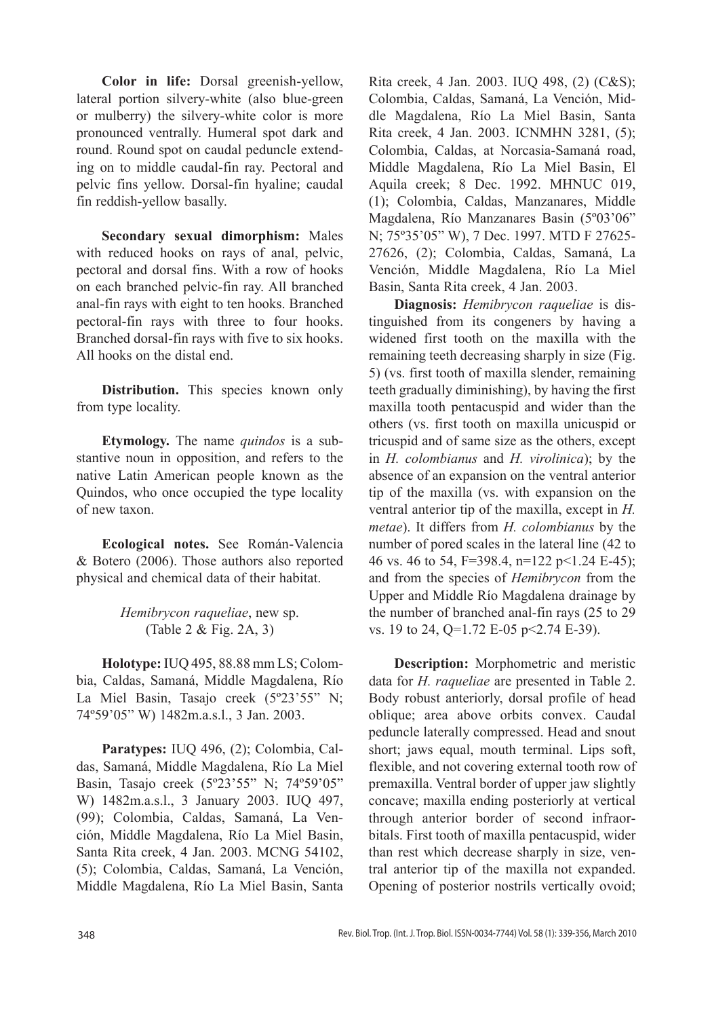**Color in life:** Dorsal greenish-yellow, lateral portion silvery-white (also blue-green or mulberry) the silvery-white color is more pronounced ventrally. Humeral spot dark and round. Round spot on caudal peduncle extending on to middle caudal-fin ray. Pectoral and pelvic fins yellow. Dorsal-fin hyaline; caudal fin reddish-yellow basally.

**Secondary sexual dimorphism:** Males with reduced hooks on rays of anal, pelvic, pectoral and dorsal fins. With a row of hooks on each branched pelvic-fin ray. All branched anal-fin rays with eight to ten hooks. Branched pectoral-fin rays with three to four hooks. Branched dorsal-fin rays with five to six hooks. All hooks on the distal end.

**Distribution.** This species known only from type locality.

**Etymology.** The name *quindos* is a substantive noun in opposition, and refers to the native Latin American people known as the Quindos, who once occupied the type locality of new taxon.

**Ecological notes.** See Román-Valencia & Botero (2006). Those authors also reported physical and chemical data of their habitat.

# *Hemibrycon raqueliae*, new sp. (Table 2 & Fig. 2A, 3)

**Holotype:** IUQ 495, 88.88 mm LS; Colombia, Caldas, Samaná, Middle Magdalena, Río La Miel Basin, Tasajo creek (5º23'55" N; 74º59'05" W) 1482m.a.s.l., 3 Jan. 2003.

**Paratypes:** IUQ 496, (2); Colombia, Caldas, Samaná, Middle Magdalena, Río La Miel Basin, Tasajo creek (5º23'55" N; 74º59'05" W) 1482m.a.s.l., 3 January 2003. IUQ 497, (99); Colombia, Caldas, Samaná, La Vención, Middle Magdalena, Río La Miel Basin, Santa Rita creek, 4 Jan. 2003. MCNG 54102, (5); Colombia, Caldas, Samaná, La Vención, Middle Magdalena, Río La Miel Basin, Santa

Rita creek, 4 Jan. 2003. IUQ 498, (2) (C&S); Colombia, Caldas, Samaná, La Vención, Middle Magdalena, Río La Miel Basin, Santa Rita creek, 4 Jan. 2003. ICNMHN 3281, (5); Colombia, Caldas, at Norcasia-Samaná road, Middle Magdalena, Río La Miel Basin, El Aquila creek; 8 Dec. 1992. MHNUC 019, (1); Colombia, Caldas, Manzanares, Middle Magdalena, Río Manzanares Basin (5º03'06" N; 75º35'05" W), 7 Dec. 1997. MTD F 27625- 27626, (2); Colombia, Caldas, Samaná, La Vención, Middle Magdalena, Río La Miel Basin, Santa Rita creek, 4 Jan. 2003.

**Diagnosis:** *Hemibrycon raqueliae* is distinguished from its congeners by having a widened first tooth on the maxilla with the remaining teeth decreasing sharply in size (Fig. 5) (vs. first tooth of maxilla slender, remaining teeth gradually diminishing), by having the first maxilla tooth pentacuspid and wider than the others (vs. first tooth on maxilla unicuspid or tricuspid and of same size as the others, except in *H. colombianus* and *H. virolinica*); by the absence of an expansion on the ventral anterior tip of the maxilla (vs. with expansion on the ventral anterior tip of the maxilla, except in *H. metae*). It differs from *H. colombianus* by the number of pored scales in the lateral line (42 to 46 vs. 46 to 54, F=398.4, n=122 p<1.24 E-45); and from the species of *Hemibrycon* from the Upper and Middle Río Magdalena drainage by the number of branched anal-fin rays (25 to 29 vs. 19 to 24, Q=1.72 E-05 p<2.74 E-39).

**Description:** Morphometric and meristic data for *H. raqueliae* are presented in Table 2. Body robust anteriorly, dorsal profile of head oblique; area above orbits convex. Caudal peduncle laterally compressed. Head and snout short; jaws equal, mouth terminal. Lips soft, flexible, and not covering external tooth row of premaxilla. Ventral border of upper jaw slightly concave; maxilla ending posteriorly at vertical through anterior border of second infraorbitals. First tooth of maxilla pentacuspid, wider than rest which decrease sharply in size, ventral anterior tip of the maxilla not expanded. Opening of posterior nostrils vertically ovoid;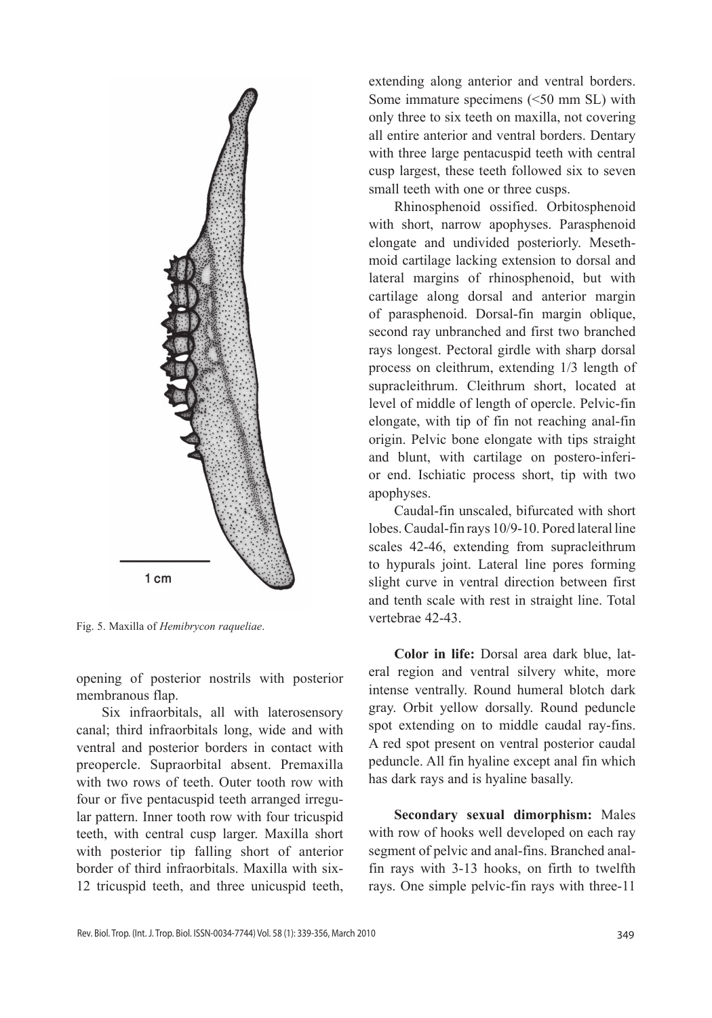

Fig. 5. Maxilla of *Hemibrycon raqueliae*.

opening of posterior nostrils with posterior membranous flap.

Six infraorbitals, all with laterosensory canal; third infraorbitals long, wide and with ventral and posterior borders in contact with preopercle. Supraorbital absent. Premaxilla with two rows of teeth. Outer tooth row with four or five pentacuspid teeth arranged irregular pattern. Inner tooth row with four tricuspid teeth, with central cusp larger. Maxilla short with posterior tip falling short of anterior border of third infraorbitals. Maxilla with six-12 tricuspid teeth, and three unicuspid teeth,

extending along anterior and ventral borders. Some immature specimens (<50 mm SL) with only three to six teeth on maxilla, not covering all entire anterior and ventral borders. Dentary with three large pentacuspid teeth with central cusp largest, these teeth followed six to seven small teeth with one or three cusps.

Rhinosphenoid ossified. Orbitosphenoid with short, narrow apophyses. Parasphenoid elongate and undivided posteriorly. Mesethmoid cartilage lacking extension to dorsal and lateral margins of rhinosphenoid, but with cartilage along dorsal and anterior margin of parasphenoid. Dorsal-fin margin oblique, second ray unbranched and first two branched rays longest. Pectoral girdle with sharp dorsal process on cleithrum, extending 1/3 length of supracleithrum. Cleithrum short, located at level of middle of length of opercle. Pelvic-fin elongate, with tip of fin not reaching anal-fin origin. Pelvic bone elongate with tips straight and blunt, with cartilage on postero-inferior end. Ischiatic process short, tip with two apophyses.

Caudal-fin unscaled, bifurcated with short lobes. Caudal-fin rays 10/9-10. Pored lateral line scales 42-46, extending from supracleithrum to hypurals joint. Lateral line pores forming slight curve in ventral direction between first and tenth scale with rest in straight line. Total vertebrae 42-43.

**Color in life:** Dorsal area dark blue, lateral region and ventral silvery white, more intense ventrally. Round humeral blotch dark gray. Orbit yellow dorsally. Round peduncle spot extending on to middle caudal ray-fins. A red spot present on ventral posterior caudal peduncle. All fin hyaline except anal fin which has dark rays and is hyaline basally.

**Secondary sexual dimorphism:** Males with row of hooks well developed on each ray segment of pelvic and anal-fins. Branched analfin rays with 3-13 hooks, on firth to twelfth rays. One simple pelvic-fin rays with three-11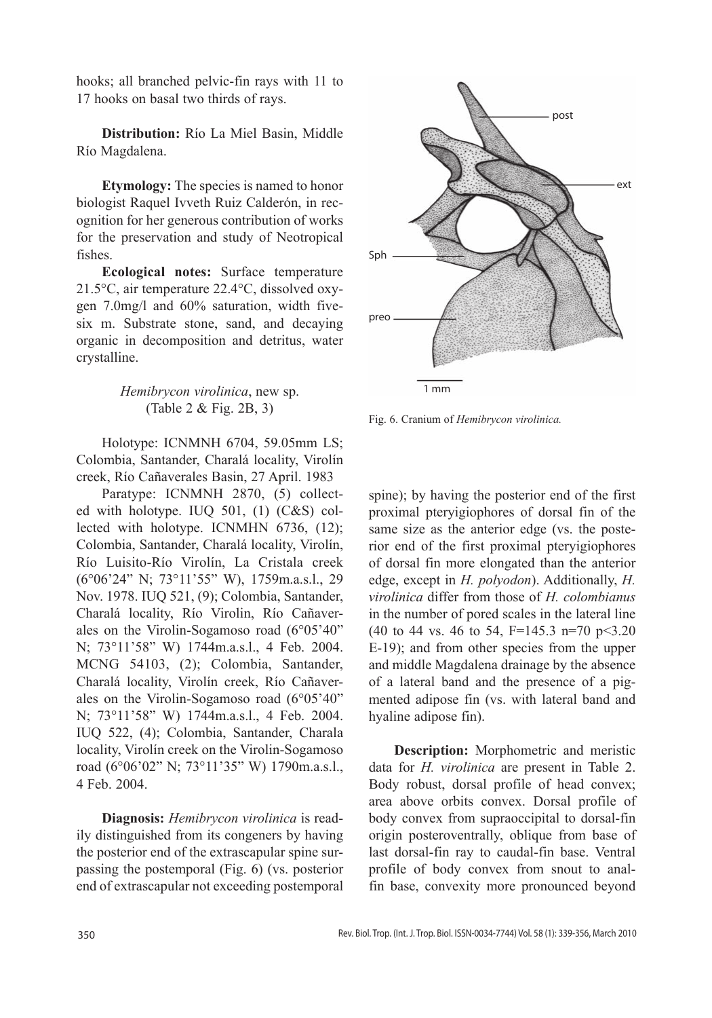hooks; all branched pelvic-fin rays with 11 to 17 hooks on basal two thirds of rays.

**Distribution:** Río La Miel Basin, Middle Río Magdalena.

**Etymology:** The species is named to honor biologist Raquel Ivveth Ruiz Calderón, in recognition for her generous contribution of works for the preservation and study of Neotropical fishes.

**Ecological notes:** Surface temperature 21.5°C, air temperature 22.4°C, dissolved oxygen 7.0mg/l and 60% saturation, width fivesix m. Substrate stone, sand, and decaying organic in decomposition and detritus, water crystalline.

# *Hemibrycon virolinica*, new sp. (Table 2 & Fig. 2B, 3)

Holotype: ICNMNH 6704, 59.05mm LS; Colombia, Santander, Charalá locality, Virolín creek, Río Cañaverales Basin, 27 April. 1983

Paratype: ICNMNH 2870, (5) collected with holotype. IUQ 501, (1) (C&S) collected with holotype. ICNMHN 6736, (12); Colombia, Santander, Charalá locality, Virolín, Río Luisito-Río Virolín, La Cristala creek (6°06'24" N; 73°11'55" W), 1759m.a.s.l., 29 Nov. 1978. IUQ 521, (9); Colombia, Santander, Charalá locality, Río Virolin, Río Cañaverales on the Virolin-Sogamoso road (6°05'40" N; 73°11'58" W) 1744m.a.s.l., 4 Feb. 2004. MCNG 54103, (2); Colombia, Santander, Charalá locality, Virolín creek, Río Cañaverales on the Virolin-Sogamoso road (6°05'40" N; 73°11'58" W) 1744m.a.s.l., 4 Feb. 2004. IUQ 522, (4); Colombia, Santander, Charala locality, Virolín creek on the Virolin-Sogamoso road (6°06'02" N; 73°11'35" W) 1790m.a.s.l., 4 Feb. 2004.

**Diagnosis:** *Hemibrycon virolinica* is readily distinguished from its congeners by having the posterior end of the extrascapular spine surpassing the postemporal (Fig. 6) (vs. posterior end of extrascapular not exceeding postemporal



Fig. 6. Cranium of *Hemibrycon virolinica.*

spine); by having the posterior end of the first proximal pteryigiophores of dorsal fin of the same size as the anterior edge (vs. the posterior end of the first proximal pteryigiophores of dorsal fin more elongated than the anterior edge, except in *H. polyodon*). Additionally, *H. virolinica* differ from those of *H. colombianus*  in the number of pored scales in the lateral line (40 to 44 vs. 46 to 54,  $F=145.3$  n=70 p<3.20 E-19); and from other species from the upper and middle Magdalena drainage by the absence of a lateral band and the presence of a pigmented adipose fin (vs. with lateral band and hyaline adipose fin).

**Description:** Morphometric and meristic data for *H. virolinica* are present in Table 2. Body robust, dorsal profile of head convex; area above orbits convex. Dorsal profile of body convex from supraoccipital to dorsal-fin origin posteroventrally, oblique from base of last dorsal-fin ray to caudal-fin base. Ventral profile of body convex from snout to analfin base, convexity more pronounced beyond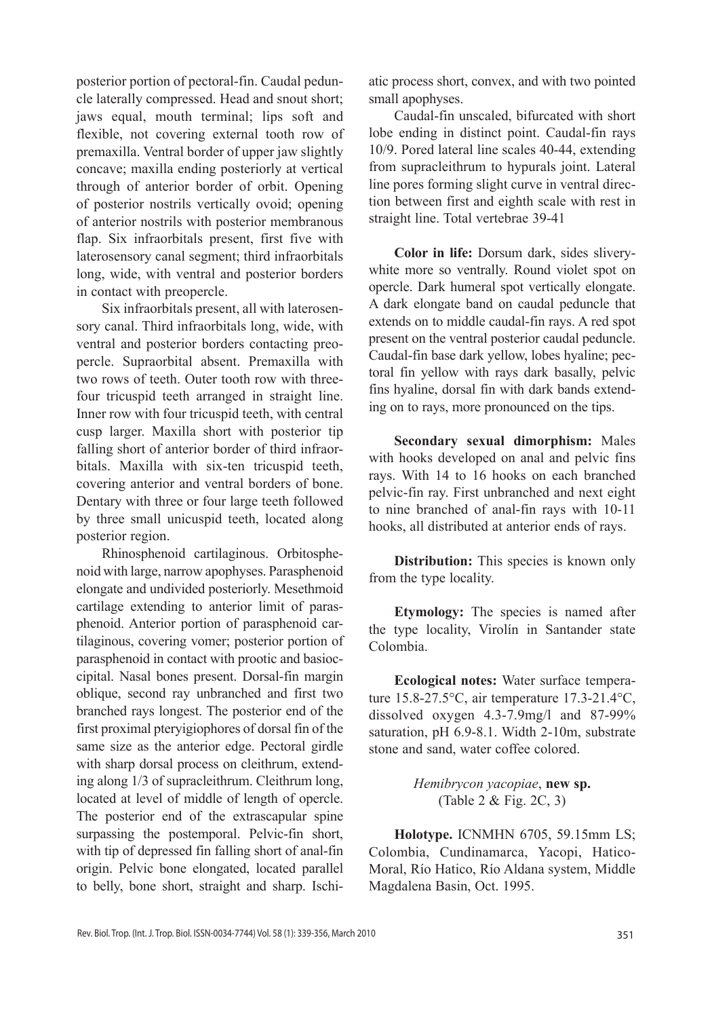posterior portion of pectoral-fin. Caudal peduncle laterally compressed. Head and snout short; jaws equal, mouth terminal; lips soft and flexible, not covering external tooth row of premaxilla. Ventral border of upper jaw slightly concave; maxilla ending posteriorly at vertical through of anterior border of orbit. Opening of posterior nostrils vertically ovoid; opening of anterior nostrils with posterior membranous flap. Six infraorbitals present, first five with laterosensory canal segment; third infraorbitals long, wide, with ventral and posterior borders in contact with preopercle.

Six infraorbitals present, all with laterosensory canal. Third infraorbitals long, wide, with ventral and posterior borders contacting preopercle. Supraorbital absent. Premaxilla with two rows of teeth. Outer tooth row with threefour tricuspid teeth arranged in straight line. Inner row with four tricuspid teeth, with central cusp larger. Maxilla short with posterior tip falling short of anterior border of third infraorbitals. Maxilla with six-ten tricuspid teeth, covering anterior and ventral borders of bone. Dentary with three or four large teeth followed by three small unicuspid teeth, located along posterior region.

Rhinosphenoid cartilaginous. Orbitosphenoid with large, narrow apophyses. Parasphenoid elongate and undivided posteriorly. Mesethmoid cartilage extending to anterior limit of parasphenoid. Anterior portion of parasphenoid cartilaginous, covering vomer; posterior portion of parasphenoid in contact with prootic and basioccipital. Nasal bones present. Dorsal-fin margin oblique, second ray unbranched and first two branched rays longest. The posterior end of the first proximal pteryigiophores of dorsal fin of the same size as the anterior edge. Pectoral girdle with sharp dorsal process on cleithrum, extending along 1/3 of supracleithrum. Cleithrum long, located at level of middle of length of opercle. The posterior end of the extrascapular spine surpassing the postemporal. Pelvic-fin short, with tip of depressed fin falling short of anal-fin origin. Pelvic bone elongated, located parallel to belly, bone short, straight and sharp. Ischiatic process short, convex, and with two pointed small apophyses.

Caudal-fin unscaled, bifurcated with short lobe ending in distinct point. Caudal-fin rays 10/9. Pored lateral line scales 40-44, extending from supracleithrum to hypurals joint. Lateral line pores forming slight curve in ventral direction between first and eighth scale with rest in straight line. Total vertebrae 39-41

**Color in life:** Dorsum dark, sides sliverywhite more so ventrally. Round violet spot on opercle. Dark humeral spot vertically elongate. A dark elongate band on caudal peduncle that extends on to middle caudal-fin rays. A red spot present on the ventral posterior caudal peduncle. Caudal-fin base dark yellow, lobes hyaline; pectoral fin yellow with rays dark basally, pelvic fins hyaline, dorsal fin with dark bands extending on to rays, more pronounced on the tips.

**Secondary sexual dimorphism:** Males with hooks developed on anal and pelvic fins rays. With 14 to 16 hooks on each branched pelvic-fin ray. First unbranched and next eight to nine branched of anal-fin rays with 10-11 hooks, all distributed at anterior ends of rays.

**Distribution:** This species is known only from the type locality.

**Etymology:** The species is named after the type locality, Virolín in Santander state Colombia.

**Ecological notes:** Water surface temperature 15.8-27.5°C, air temperature 17.3-21.4°C, dissolved oxygen 4.3-7.9mg/l and 87-99% saturation, pH 6.9-8.1. Width 2-10m, substrate stone and sand, water coffee colored.

> *Hemibrycon yacopiae*, **new sp.** (Table 2 & Fig. 2C, 3)

**Holotype.** ICNMHN 6705, 59.15mm LS; Colombia, Cundinamarca, Yacopi, Hatico-Moral, Río Hatico, Río Aldana system, Middle Magdalena Basin, Oct. 1995.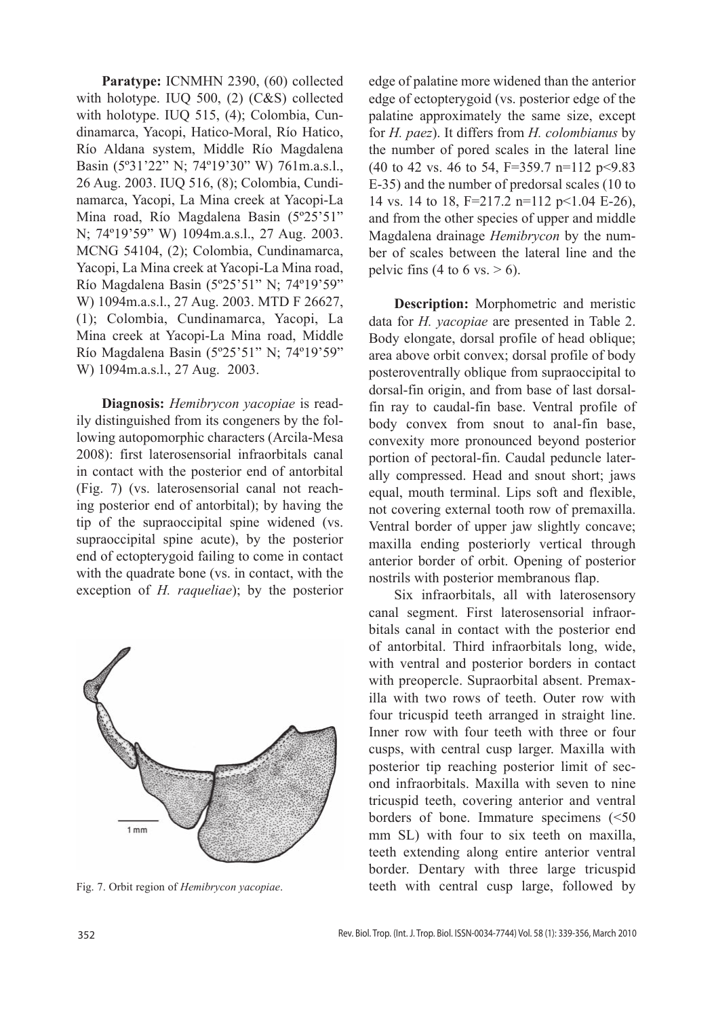**Paratype:** ICNMHN 2390, (60) collected with holotype. IUQ 500, (2) (C&S) collected with holotype. IUQ 515, (4); Colombia, Cundinamarca, Yacopi, Hatico-Moral, Río Hatico, Río Aldana system, Middle Río Magdalena Basin (5º31'22" N; 74º19'30" W) 761m.a.s.l., 26 Aug. 2003. IUQ 516, (8); Colombia, Cundinamarca, Yacopi, La Mina creek at Yacopi-La Mina road, Río Magdalena Basin (5º25'51" N; 74º19'59" W) 1094m.a.s.l., 27 Aug. 2003. MCNG 54104, (2); Colombia, Cundinamarca, Yacopi, La Mina creek at Yacopi-La Mina road, Río Magdalena Basin (5º25'51" N; 74º19'59" W) 1094m.a.s.l., 27 Aug. 2003. MTD F 26627, (1); Colombia, Cundinamarca, Yacopi, La Mina creek at Yacopi-La Mina road, Middle Río Magdalena Basin (5º25'51" N; 74º19'59" W) 1094m.a.s.l., 27 Aug. 2003.

**Diagnosis:** *Hemibrycon yacopiae* is readily distinguished from its congeners by the following autopomorphic characters (Arcila-Mesa 2008): first laterosensorial infraorbitals canal in contact with the posterior end of antorbital (Fig. 7) (vs. laterosensorial canal not reaching posterior end of antorbital); by having the tip of the supraoccipital spine widened (vs. supraoccipital spine acute), by the posterior end of ectopterygoid failing to come in contact with the quadrate bone (vs. in contact, with the exception of *H. raqueliae*); by the posterior



edge of palatine more widened than the anterior edge of ectopterygoid (vs. posterior edge of the palatine approximately the same size, except for *H. paez*). It differs from *H. colombianus* by the number of pored scales in the lateral line (40 to 42 vs. 46 to 54, F=359.7 n=112 p<9.83 E-35) and the number of predorsal scales (10 to 14 vs. 14 to 18, F=217.2 n=112 p<1.04 E-26), and from the other species of upper and middle Magdalena drainage *Hemibrycon* by the number of scales between the lateral line and the pelvic fins  $(4 \text{ to } 6 \text{ vs.} > 6)$ .

**Description:** Morphometric and meristic data for *H. yacopiae* are presented in Table 2. Body elongate, dorsal profile of head oblique; area above orbit convex; dorsal profile of body posteroventrally oblique from supraoccipital to dorsal-fin origin, and from base of last dorsalfin ray to caudal-fin base. Ventral profile of body convex from snout to anal-fin base, convexity more pronounced beyond posterior portion of pectoral-fin. Caudal peduncle laterally compressed. Head and snout short; jaws equal, mouth terminal. Lips soft and flexible, not covering external tooth row of premaxilla. Ventral border of upper jaw slightly concave; maxilla ending posteriorly vertical through anterior border of orbit. Opening of posterior nostrils with posterior membranous flap.

Six infraorbitals, all with laterosensory canal segment. First laterosensorial infraorbitals canal in contact with the posterior end of antorbital. Third infraorbitals long, wide, with ventral and posterior borders in contact with preopercle. Supraorbital absent. Premaxilla with two rows of teeth. Outer row with four tricuspid teeth arranged in straight line. Inner row with four teeth with three or four cusps, with central cusp larger. Maxilla with posterior tip reaching posterior limit of second infraorbitals. Maxilla with seven to nine tricuspid teeth, covering anterior and ventral borders of bone. Immature specimens (<50 mm SL) with four to six teeth on maxilla, teeth extending along entire anterior ventral border. Dentary with three large tricuspid Fig. 7. Orbit region of *Hemibrycon yacopiae*. teeth with central cusp large, followed by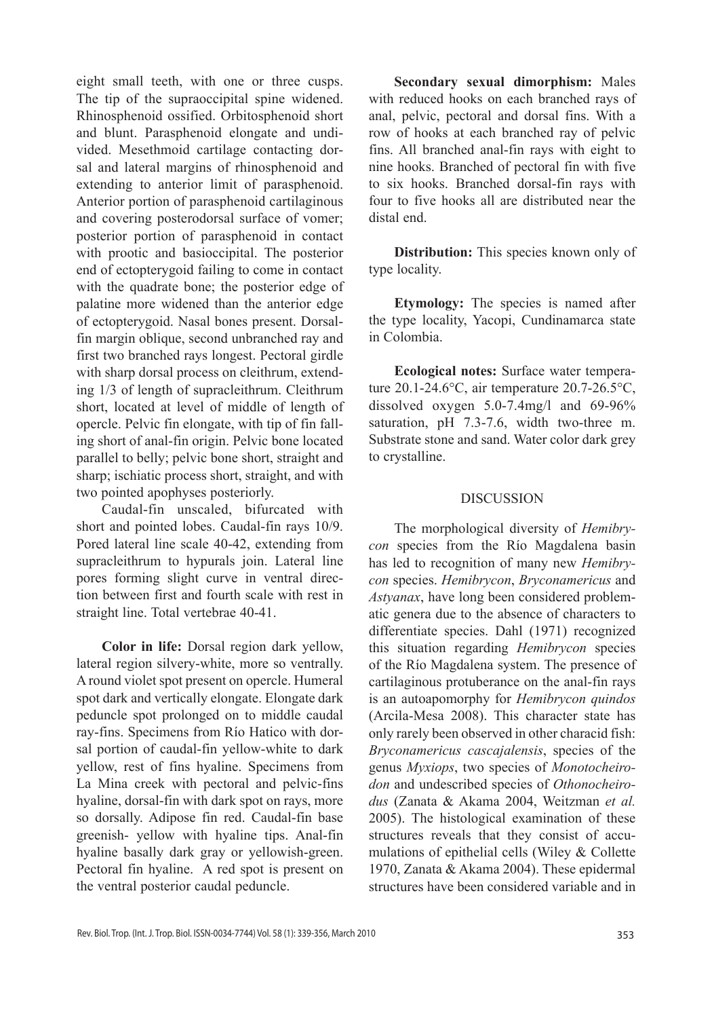eight small teeth, with one or three cusps. The tip of the supraoccipital spine widened. Rhinosphenoid ossified. Orbitosphenoid short and blunt. Parasphenoid elongate and undivided. Mesethmoid cartilage contacting dorsal and lateral margins of rhinosphenoid and extending to anterior limit of parasphenoid. Anterior portion of parasphenoid cartilaginous and covering posterodorsal surface of vomer; posterior portion of parasphenoid in contact with prootic and basioccipital. The posterior end of ectopterygoid failing to come in contact with the quadrate bone; the posterior edge of palatine more widened than the anterior edge of ectopterygoid. Nasal bones present. Dorsalfin margin oblique, second unbranched ray and first two branched rays longest. Pectoral girdle with sharp dorsal process on cleithrum, extending 1/3 of length of supracleithrum. Cleithrum short, located at level of middle of length of opercle. Pelvic fin elongate, with tip of fin falling short of anal-fin origin. Pelvic bone located parallel to belly; pelvic bone short, straight and sharp; ischiatic process short, straight, and with two pointed apophyses posteriorly.

Caudal-fin unscaled, bifurcated with short and pointed lobes. Caudal-fin rays 10/9. Pored lateral line scale 40-42, extending from supracleithrum to hypurals join. Lateral line pores forming slight curve in ventral direction between first and fourth scale with rest in straight line. Total vertebrae 40-41.

**Color in life:** Dorsal region dark yellow, lateral region silvery-white, more so ventrally. A round violet spot present on opercle. Humeral spot dark and vertically elongate. Elongate dark peduncle spot prolonged on to middle caudal ray-fins. Specimens from Río Hatico with dorsal portion of caudal-fin yellow-white to dark yellow, rest of fins hyaline. Specimens from La Mina creek with pectoral and pelvic-fins hyaline, dorsal-fin with dark spot on rays, more so dorsally. Adipose fin red. Caudal-fin base greenish- yellow with hyaline tips. Anal-fin hyaline basally dark gray or yellowish-green. Pectoral fin hyaline. A red spot is present on the ventral posterior caudal peduncle.

**Secondary sexual dimorphism:** Males with reduced hooks on each branched rays of anal, pelvic, pectoral and dorsal fins. With a row of hooks at each branched ray of pelvic fins. All branched anal-fin rays with eight to nine hooks. Branched of pectoral fin with five to six hooks. Branched dorsal-fin rays with four to five hooks all are distributed near the distal end.

**Distribution:** This species known only of type locality.

**Etymology:** The species is named after the type locality, Yacopi, Cundinamarca state in Colombia.

**Ecological notes:** Surface water temperature 20.1-24.6°C, air temperature 20.7-26.5°C, dissolved oxygen 5.0-7.4mg/l and 69-96% saturation, pH 7.3-7.6, width two-three m. Substrate stone and sand. Water color dark grey to crystalline.

#### DISCUSSION

The morphological diversity of *Hemibrycon* species from the Río Magdalena basin has led to recognition of many new *Hemibrycon* species. *Hemibrycon*, *Bryconamericus* and *Astyanax*, have long been considered problematic genera due to the absence of characters to differentiate species. Dahl (1971) recognized this situation regarding *Hemibrycon* species of the Río Magdalena system. The presence of cartilaginous protuberance on the anal-fin rays is an autoapomorphy for *Hemibrycon quindos* (Arcila-Mesa 2008). This character state has only rarely been observed in other characid fish: *Bryconamericus cascajalensis*, species of the genus *Myxiops*, two species of *Monotocheirodon* and undescribed species of *Othonocheirodus* (Zanata & Akama 2004, Weitzman *et al.* 2005). The histological examination of these structures reveals that they consist of accumulations of epithelial cells (Wiley & Collette 1970, Zanata & Akama 2004). These epidermal structures have been considered variable and in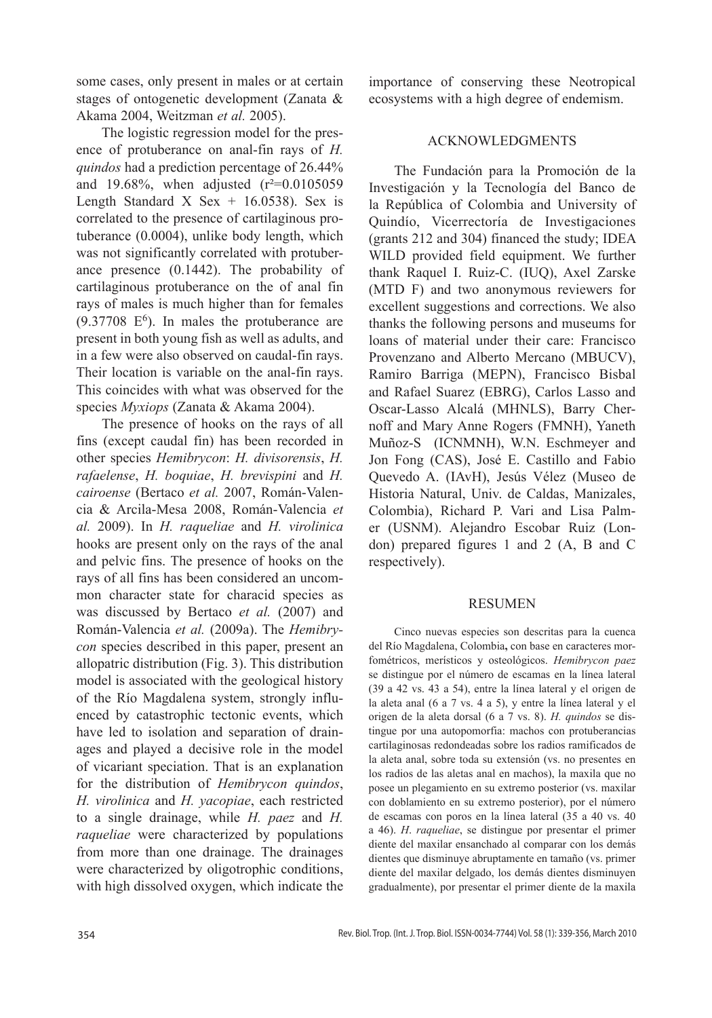some cases, only present in males or at certain stages of ontogenetic development (Zanata & Akama 2004, Weitzman *et al.* 2005).

The logistic regression model for the presence of protuberance on anal-fin rays of *H. quindos* had a prediction percentage of 26.44% and 19.68%, when adjusted  $(r^2=0.0105059)$ Length Standard X Sex  $+$  16.0538). Sex is correlated to the presence of cartilaginous protuberance (0.0004), unlike body length, which was not significantly correlated with protuberance presence (0.1442). The probability of cartilaginous protuberance on the of anal fin rays of males is much higher than for females  $(9.37708 \text{ } E^6)$ . In males the protuberance are present in both young fish as well as adults, and in a few were also observed on caudal-fin rays. Their location is variable on the anal-fin rays. This coincides with what was observed for the species *Myxiops* (Zanata & Akama 2004).

The presence of hooks on the rays of all fins (except caudal fin) has been recorded in other species *Hemibrycon*: *H. divisorensis*, *H. rafaelense*, *H. boquiae*, *H. brevispini* and *H. cairoense* (Bertaco *et al.* 2007, Román-Valencia & Arcila-Mesa 2008, Román-Valencia *et al.* 2009). In *H. raqueliae* and *H. virolinica* hooks are present only on the rays of the anal and pelvic fins. The presence of hooks on the rays of all fins has been considered an uncommon character state for characid species as was discussed by Bertaco *et al.* (2007) and Román-Valencia *et al.* (2009a). The *Hemibrycon* species described in this paper, present an allopatric distribution (Fig. 3). This distribution model is associated with the geological history of the Río Magdalena system, strongly influenced by catastrophic tectonic events, which have led to isolation and separation of drainages and played a decisive role in the model of vicariant speciation. That is an explanation for the distribution of *Hemibrycon quindos*, *H. virolinica* and *H. yacopiae*, each restricted to a single drainage, while *H. paez* and *H. raqueliae* were characterized by populations from more than one drainage. The drainages were characterized by oligotrophic conditions, with high dissolved oxygen, which indicate the importance of conserving these Neotropical ecosystems with a high degree of endemism.

### ACKNOWLEDGMENTS

The Fundación para la Promoción de la Investigación y la Tecnología del Banco de la República of Colombia and University of Quindío, Vicerrectoría de Investigaciones (grants 212 and 304) financed the study; IDEA WILD provided field equipment. We further thank Raquel I. Ruiz-C. (IUQ), Axel Zarske (MTD F) and two anonymous reviewers for excellent suggestions and corrections. We also thanks the following persons and museums for loans of material under their care: Francisco Provenzano and Alberto Mercano (MBUCV), Ramiro Barriga (MEPN), Francisco Bisbal and Rafael Suarez (EBRG), Carlos Lasso and Oscar-Lasso Alcalá (MHNLS), Barry Chernoff and Mary Anne Rogers (FMNH), Yaneth Muñoz-S (ICNMNH), W.N. Eschmeyer and Jon Fong (CAS), José E. Castillo and Fabio Quevedo A. (IAvH), Jesús Vélez (Museo de Historia Natural, Univ. de Caldas, Manizales, Colombia), Richard P. Vari and Lisa Palmer (USNM). Alejandro Escobar Ruiz (London) prepared figures 1 and 2 (A, B and C respectively).

#### RESUMEN

Cinco nuevas especies son descritas para la cuenca del Río Magdalena, Colombia**,** con base en caracteres morfométricos, merísticos y osteológicos. *Hemibrycon paez* se distingue por el número de escamas en la línea lateral (39 a 42 vs. 43 a 54), entre la línea lateral y el origen de la aleta anal (6 a 7 vs. 4 a 5), y entre la línea lateral y el origen de la aleta dorsal (6 a 7 vs. 8). *H. quindos* se distingue por una autopomorfia: machos con protuberancias cartilaginosas redondeadas sobre los radios ramificados de la aleta anal, sobre toda su extensión (vs. no presentes en los radios de las aletas anal en machos), la maxila que no posee un plegamiento en su extremo posterior (vs. maxilar con doblamiento en su extremo posterior), por el número de escamas con poros en la línea lateral (35 a 40 vs. 40 a 46). *H*. *raqueliae*, se distingue por presentar el primer diente del maxilar ensanchado al comparar con los demás dientes que disminuye abruptamente en tamaño (vs. primer diente del maxilar delgado, los demás dientes disminuyen gradualmente), por presentar el primer diente de la maxila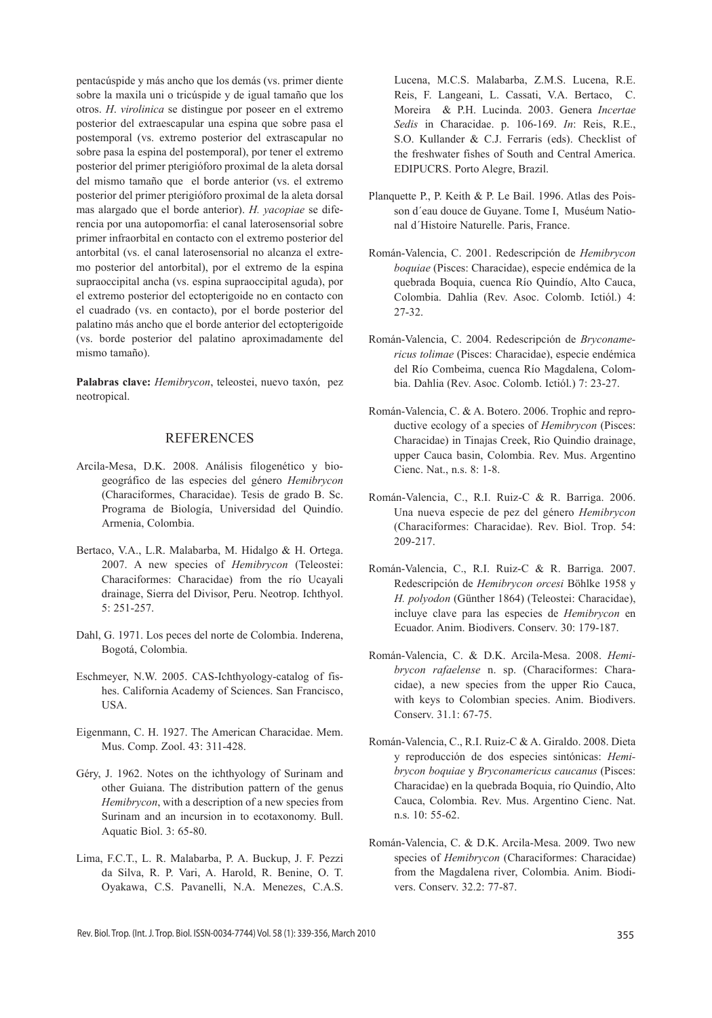pentacúspide y más ancho que los demás (vs. primer diente sobre la maxila uni o tricúspide y de igual tamaño que los otros. *H*. *virolinica* se distingue por poseer en el extremo posterior del extraescapular una espina que sobre pasa el postemporal (vs. extremo posterior del extrascapular no sobre pasa la espina del postemporal), por tener el extremo posterior del primer pterigióforo proximal de la aleta dorsal del mismo tamaño que el borde anterior (vs. el extremo posterior del primer pterigióforo proximal de la aleta dorsal mas alargado que el borde anterior). *H. yacopiae* se diferencia por una autopomorfia: el canal laterosensorial sobre primer infraorbital en contacto con el extremo posterior del antorbital (vs. el canal laterosensorial no alcanza el extremo posterior del antorbital), por el extremo de la espina supraoccipital ancha (vs. espina supraoccipital aguda), por el extremo posterior del ectopterigoide no en contacto con el cuadrado (vs. en contacto), por el borde posterior del palatino más ancho que el borde anterior del ectopterigoide (vs. borde posterior del palatino aproximadamente del mismo tamaño).

**Palabras clave:** *Hemibrycon*, teleostei, nuevo taxón, pez neotropical.

#### **REFERENCES**

- Arcila-Mesa, D.K. 2008. Análisis filogenético y biogeográfico de las especies del género *Hemibrycon* (Characiformes, Characidae). Tesis de grado B. Sc. Programa de Biología, Universidad del Quindío. Armenia, Colombia.
- Bertaco, V.A., L.R. Malabarba, M. Hidalgo & H. Ortega. 2007. A new species of *Hemibrycon* (Teleostei: Characiformes: Characidae) from the río Ucayali drainage, Sierra del Divisor, Peru. Neotrop. Ichthyol. 5: 251-257.
- Dahl, G. 1971. Los peces del norte de Colombia. Inderena, Bogotá, Colombia.
- Eschmeyer, N.W. 2005. CAS-Ichthyology-catalog of fishes. California Academy of Sciences. San Francisco, USA.
- Eigenmann, C. H. 1927. The American Characidae. Mem. Mus. Comp. Zool. 43: 311-428.
- Géry, J. 1962. Notes on the ichthyology of Surinam and other Guiana. The distribution pattern of the genus *Hemibrycon*, with a description of a new species from Surinam and an incursion in to ecotaxonomy. Bull. Aquatic Biol. 3: 65-80.
- Lima, F.C.T., L. R. Malabarba, P. A. Buckup, J. F. Pezzi da Silva, R. P. Vari, A. Harold, R. Benine, O. T. Oyakawa, C.S. Pavanelli, N.A. Menezes, C.A.S.

Lucena, M.C.S. Malabarba, Z.M.S. Lucena, R.E. Reis, F. Langeani, L. Cassati, V.A. Bertaco, C. Moreira & P.H. Lucinda. 2003. Genera *Incertae Sedis* in Characidae. p. 106-169. *In*: Reis, R.E., S.O. Kullander & C.J. Ferraris (eds). Checklist of the freshwater fishes of South and Central America. EDIPUCRS. Porto Alegre, Brazil.

- Planquette P., P. Keith & P. Le Bail. 1996. Atlas des Poisson d´eau douce de Guyane. Tome I, Muséum National d´Histoire Naturelle. Paris, France.
- Román-Valencia, C. 2001. Redescripción de *Hemibrycon boquiae* (Pisces: Characidae), especie endémica de la quebrada Boquia, cuenca Río Quindío, Alto Cauca, Colombia. Dahlia (Rev. Asoc. Colomb. Ictiól.) 4: 27-32.
- Román-Valencia, C. 2004. Redescripción de *Bryconamericus tolimae* (Pisces: Characidae), especie endémica del Río Combeima, cuenca Río Magdalena, Colombia. Dahlia (Rev. Asoc. Colomb. Ictiól.) 7: 23-27.
- Román-Valencia, C. & A. Botero. 2006. Trophic and reproductive ecology of a species of *Hemibrycon* (Pisces: Characidae) in Tinajas Creek, Rio Quindio drainage, upper Cauca basin, Colombia. Rev. Mus. Argentino Cienc. Nat., n.s. 8: 1-8.
- Román-Valencia, C., R.I. Ruiz-C & R. Barriga. 2006. Una nueva especie de pez del género *Hemibrycon*  (Characiformes: Characidae). Rev. Biol. Trop. 54: 209-217.
- Román-Valencia, C., R.I. Ruiz-C & R. Barriga. 2007. Redescripción de *Hemibrycon orcesi* Böhlke 1958 y *H. polyodon* (Günther 1864) (Teleostei: Characidae), incluye clave para las especies de *Hemibrycon* en Ecuador. Anim. Biodivers. Conserv. 30: 179-187.
- Román-Valencia, C. & D.K. Arcila-Mesa. 2008. *Hemibrycon rafaelense* n. sp. (Characiformes: Characidae), a new species from the upper Rio Cauca, with keys to Colombian species. Anim. Biodivers. Conserv. 31.1: 67-75.
- Román-Valencia, C., R.I. Ruiz-C & A. Giraldo. 2008. Dieta y reproducción de dos especies sintónicas: *Hemibrycon boquiae* y *Bryconamericus caucanus* (Pisces: Characidae) en la quebrada Boquia, río Quindío, Alto Cauca, Colombia. Rev. Mus. Argentino Cienc. Nat. n.s. 10: 55-62.
- Román-Valencia, C. & D.K. Arcila-Mesa. 2009. Two new species of *Hemibrycon* (Characiformes: Characidae) from the Magdalena river, Colombia. Anim. Biodivers. Conserv. 32.2: 77-87.